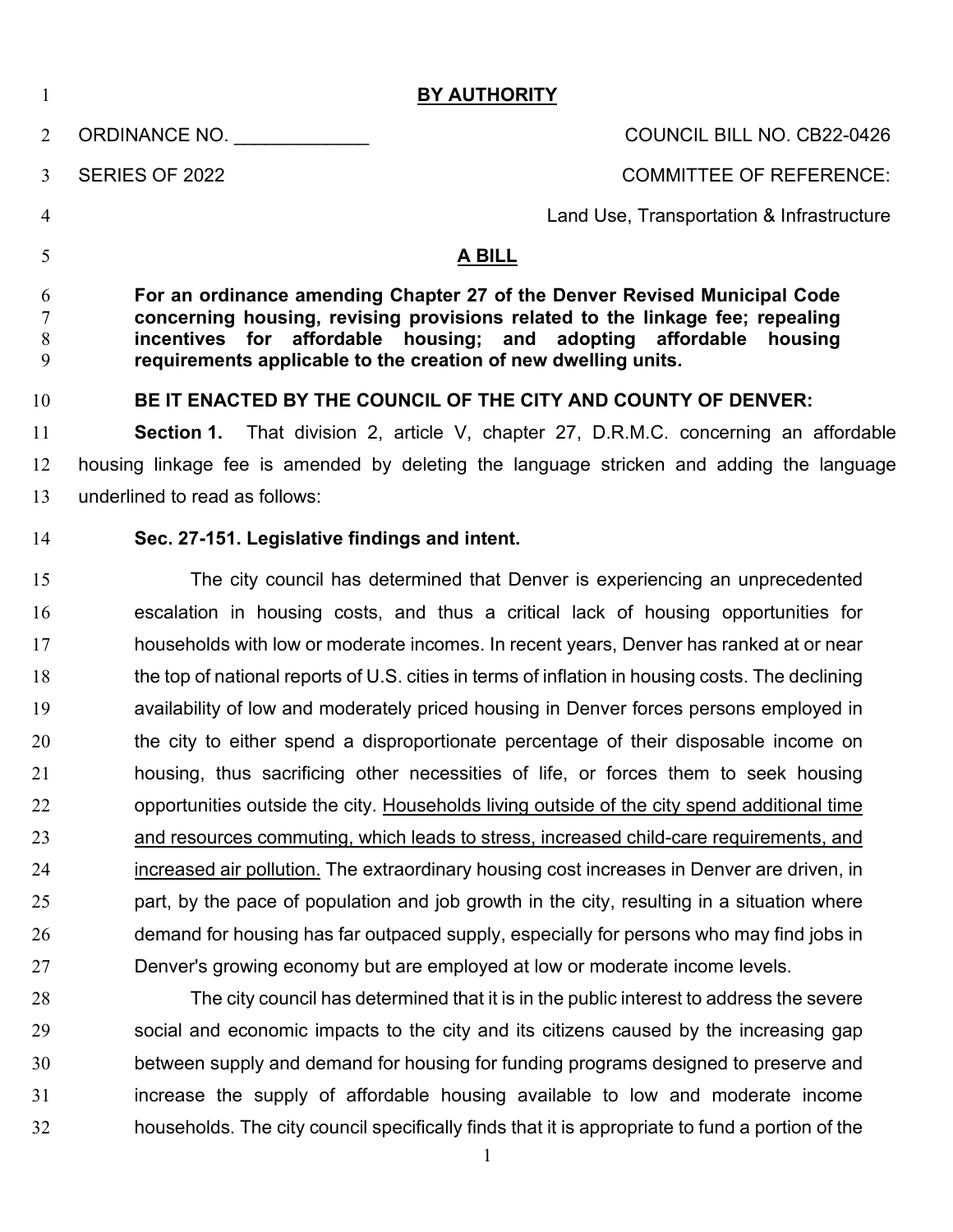|                   |                | <b>BY AUTHORITY</b>                                                                                                                                       |
|-------------------|----------------|-----------------------------------------------------------------------------------------------------------------------------------------------------------|
| 2                 | ORDINANCE NO.  | COUNCIL BILL NO. CB22-0426                                                                                                                                |
| $\mathcal{E}$     | SERIES OF 2022 | <b>COMMITTEE OF REFERENCE:</b>                                                                                                                            |
| $\overline{4}$    |                | Land Use, Transportation & Infrastructure                                                                                                                 |
| 5                 |                | A BILL                                                                                                                                                    |
| 6<br>$\mathbf{7}$ |                | For an ordinance amending Chapter 27 of the Denver Revised Municipal Code<br>concerning housing revising provisions related to the linkses fear repealing |

**concerning housing, revising provisions related to the linkage fee; repealing incentives for affordable housing; and adopting affordable housing requirements applicable to the creation of new dwelling units.** 

## **BE IT ENACTED BY THE COUNCIL OF THE CITY AND COUNTY OF DENVER:**

**Section 1.** That division 2, article V, chapter 27, D.R.M.C. concerning an affordable housing linkage fee is amended by deleting the language stricken and adding the language underlined to read as follows:

### **Sec. 27-151. Legislative findings and intent.**

The city council has determined that Denver is experiencing an unprecedented escalation in housing costs, and thus a critical lack of housing opportunities for households with low or moderate incomes. In recent years, Denver has ranked at or near the top of national reports of U.S. cities in terms of inflation in housing costs. The declining availability of low and moderately priced housing in Denver forces persons employed in 20 the city to either spend a disproportionate percentage of their disposable income on housing, thus sacrificing other necessities of life, or forces them to seek housing opportunities outside the city. Households living outside of the city spend additional time and resources commuting, which leads to stress, increased child-care requirements, and increased air pollution. The extraordinary housing cost increases in Denver are driven, in 25 part, by the pace of population and job growth in the city, resulting in a situation where demand for housing has far outpaced supply, especially for persons who may find jobs in Denver's growing economy but are employed at low or moderate income levels.

The city council has determined that it is in the public interest to address the severe social and economic impacts to the city and its citizens caused by the increasing gap between supply and demand for housing for funding programs designed to preserve and increase the supply of affordable housing available to low and moderate income households. The city council specifically finds that it is appropriate to fund a portion of the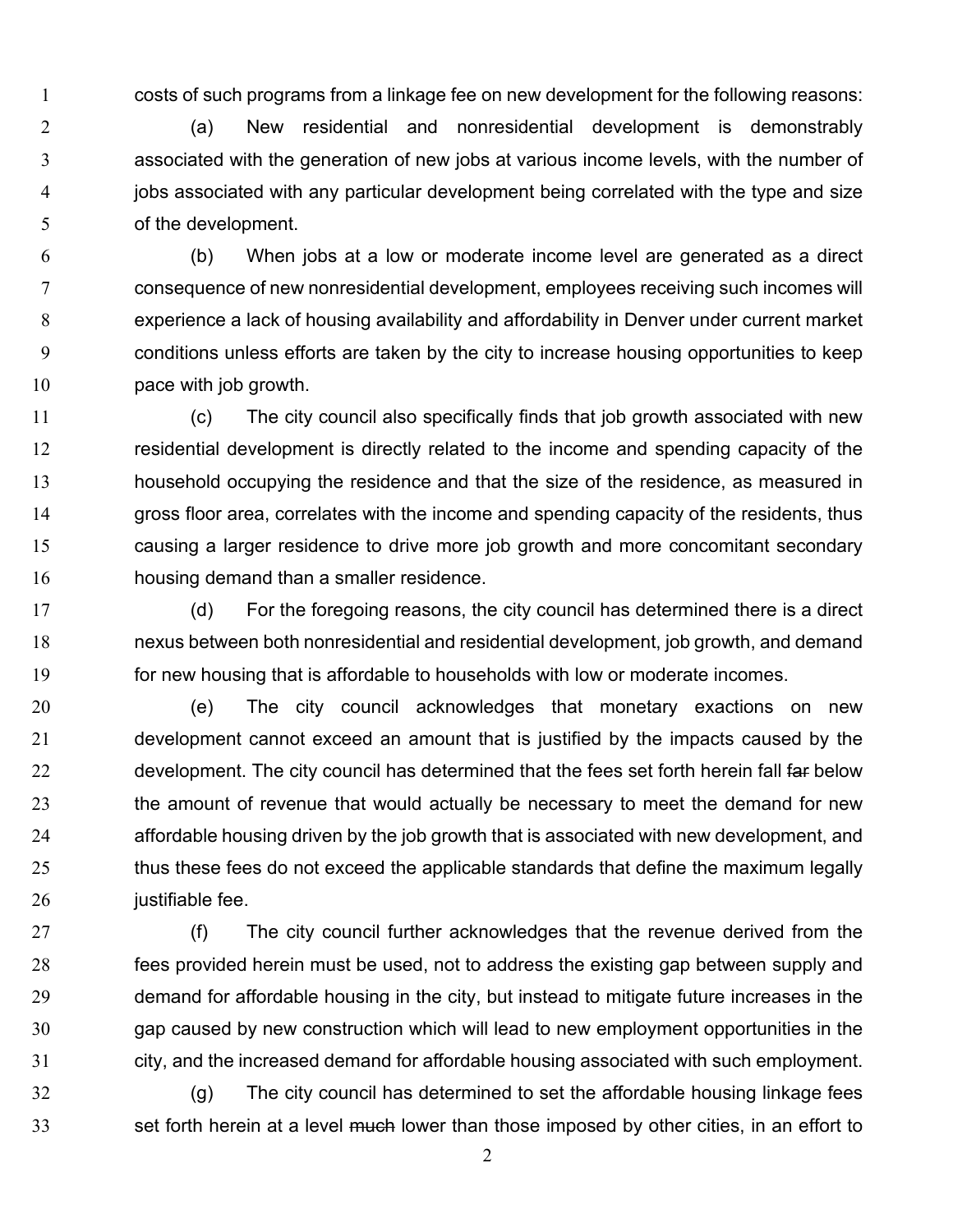costs of such programs from a linkage fee on new development for the following reasons:

(a) New residential and nonresidential development is demonstrably associated with the generation of new jobs at various income levels, with the number of jobs associated with any particular development being correlated with the type and size of the development.

(b) When jobs at a low or moderate income level are generated as a direct consequence of new nonresidential development, employees receiving such incomes will experience a lack of housing availability and affordability in Denver under current market conditions unless efforts are taken by the city to increase housing opportunities to keep **pace with job growth.** 

(c) The city council also specifically finds that job growth associated with new residential development is directly related to the income and spending capacity of the household occupying the residence and that the size of the residence, as measured in gross floor area, correlates with the income and spending capacity of the residents, thus causing a larger residence to drive more job growth and more concomitant secondary housing demand than a smaller residence.

(d) For the foregoing reasons, the city council has determined there is a direct nexus between both nonresidential and residential development, job growth, and demand for new housing that is affordable to households with low or moderate incomes.

(e) The city council acknowledges that monetary exactions on new development cannot exceed an amount that is justified by the impacts caused by the 22 development. The city council has determined that the fees set forth herein fall far below 23 the amount of revenue that would actually be necessary to meet the demand for new affordable housing driven by the job growth that is associated with new development, and 25 thus these fees do not exceed the applicable standards that define the maximum legally 26 justifiable fee.

27 (f) The city council further acknowledges that the revenue derived from the fees provided herein must be used, not to address the existing gap between supply and demand for affordable housing in the city, but instead to mitigate future increases in the gap caused by new construction which will lead to new employment opportunities in the city, and the increased demand for affordable housing associated with such employment.

(g) The city council has determined to set the affordable housing linkage fees 33 set forth herein at a level much lower than those imposed by other cities, in an effort to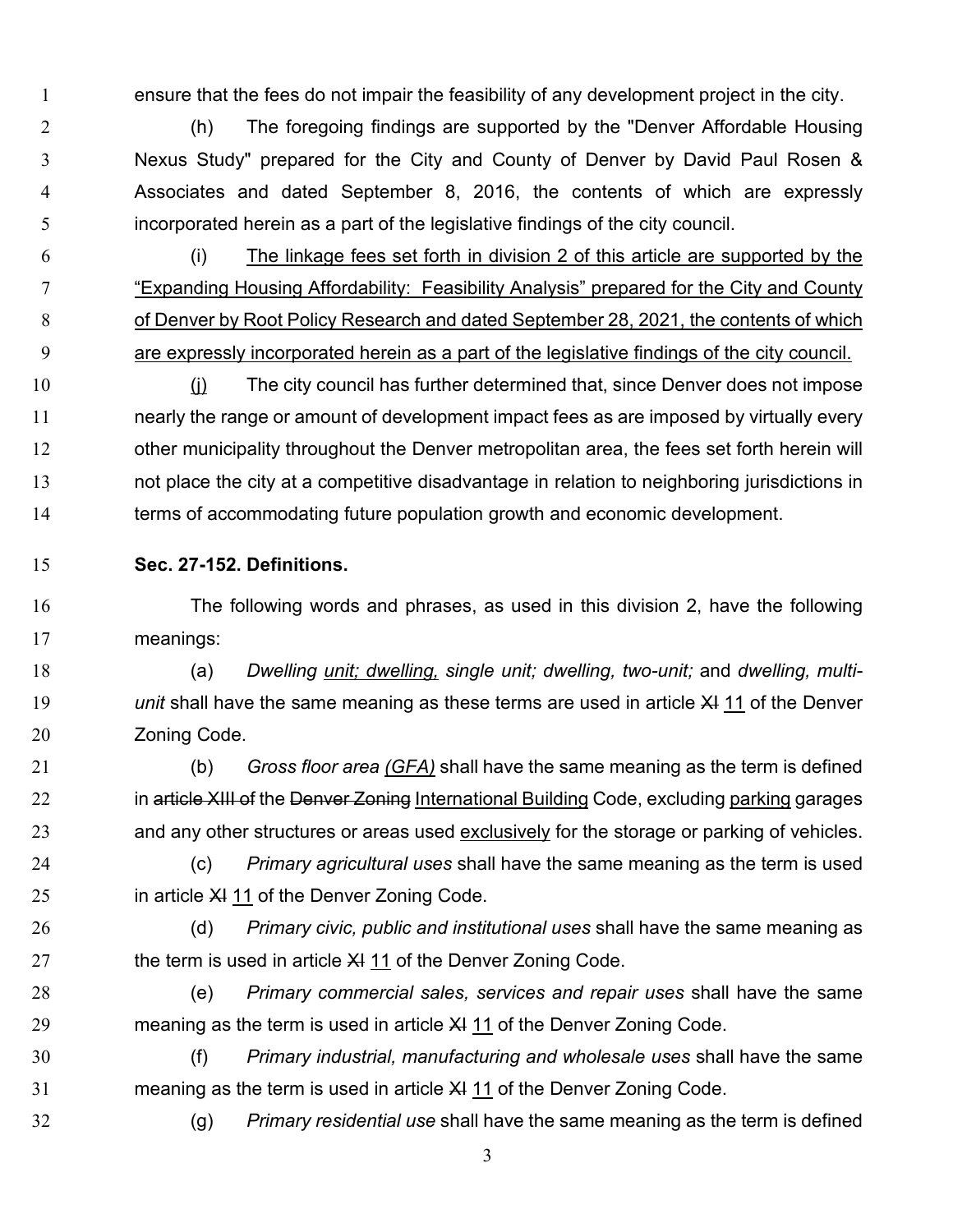ensure that the fees do not impair the feasibility of any development project in the city.

(h) The foregoing findings are supported by the "Denver Affordable Housing Nexus Study" prepared for the City and County of Denver by David Paul Rosen & Associates and dated September 8, 2016, the contents of which are expressly incorporated herein as a part of the legislative findings of the city council.

(i) The linkage fees set forth in division 2 of this article are supported by the "Expanding Housing Affordability: Feasibility Analysis" prepared for the City and County 8 6 of Denver by Root Policy Research and dated September 28, 2021, the contents of which are expressly incorporated herein as a part of the legislative findings of the city council.

(j) The city council has further determined that, since Denver does not impose nearly the range or amount of development impact fees as are imposed by virtually every 12 other municipality throughout the Denver metropolitan area, the fees set forth herein will not place the city at a competitive disadvantage in relation to neighboring jurisdictions in terms of accommodating future population growth and economic development.

## **Sec. 27-152. Definitions.**

The following words and phrases, as used in this division 2, have the following meanings:

(a) *Dwelling unit; dwelling, single unit; dwelling, two-unit;* and *dwelling, multi-unit* shall have the same meaning as these terms are used in article XI 11 of the Denver Zoning Code.

(b) *Gross floor area (GFA)* shall have the same meaning as the term is defined 22 in article XIII of the Denver Zoning International Building Code, excluding parking garages and any other structures or areas used exclusively for the storage or parking of vehicles.

(c) *Primary agricultural uses* shall have the same meaning as the term is used **in article XI 11 of the Denver Zoning Code.** 

(d) *Primary civic, public and institutional uses* shall have the same meaning as 27 the term is used in article XI 11 of the Denver Zoning Code.

- (e) *Primary commercial sales, services and repair uses* shall have the same 29 meaning as the term is used in article XI 11 of the Denver Zoning Code.
	- (f) *Primary industrial, manufacturing and wholesale uses* shall have the same meaning as the term is used in article XI 11 of the Denver Zoning Code.
	- (g) *Primary residential use* shall have the same meaning as the term is defined
		-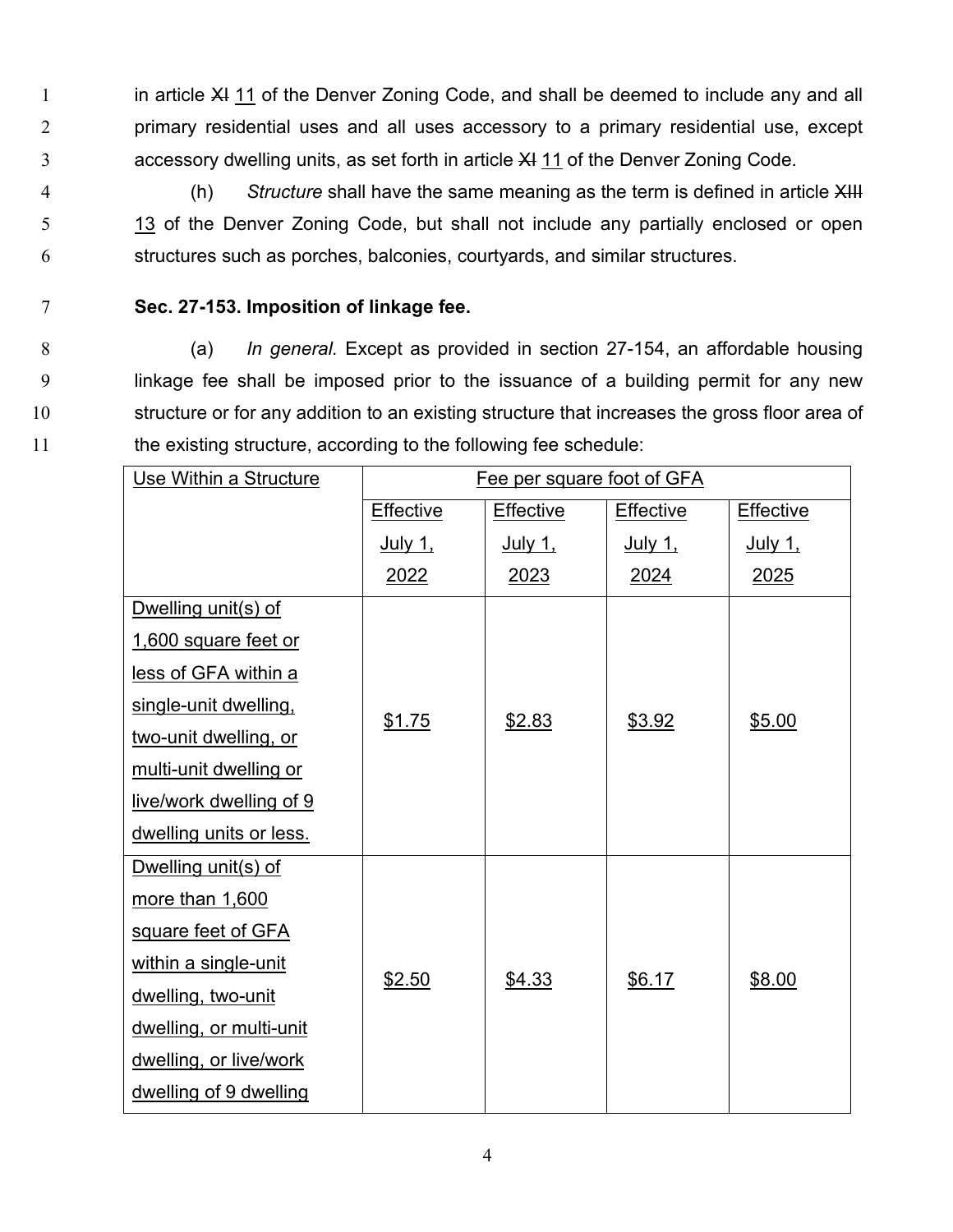1 in article XI 11 of the Denver Zoning Code, and shall be deemed to include any and all 2 primary residential uses and all uses accessory to a primary residential use, except 3 accessory dwelling units, as set forth in article XI 11 of the Denver Zoning Code.

4 (h) *Structure* shall have the same meaning as the term is defined in article XIII 5 13 of the Denver Zoning Code, but shall not include any partially enclosed or open 6 structures such as porches, balconies, courtyards, and similar structures.

7 **Sec. 27-153. Imposition of linkage fee.** 

(a) *In general.* Except as provided in section 27-154, an affordable housing linkage fee shall be imposed prior to the issuance of a building permit for any new structure or for any addition to an existing structure that increases the gross floor area of 11 the existing structure, according to the following fee schedule:

| Use Within a Structure  | Fee per square foot of GFA |                  |                  |                  |
|-------------------------|----------------------------|------------------|------------------|------------------|
|                         | <b>Effective</b>           | <b>Effective</b> | <b>Effective</b> | <b>Effective</b> |
|                         | <u>July 1,</u>             | <u>July 1,</u>   | <u>July 1,</u>   | <u>July 1,</u>   |
|                         | 2022                       | 2023             | 2024             | 2025             |
| Dwelling unit(s) of     |                            |                  |                  |                  |
| 1,600 square feet or    |                            |                  |                  |                  |
| less of GFA within a    |                            |                  |                  |                  |
| single-unit dwelling,   |                            | \$2.83           | \$3.92           | \$5.00           |
| two-unit dwelling, or   | \$1.75                     |                  |                  |                  |
| multi-unit dwelling or  |                            |                  |                  |                  |
| live/work dwelling of 9 |                            |                  |                  |                  |
| dwelling units or less. |                            |                  |                  |                  |
| Dwelling unit(s) of     |                            |                  |                  |                  |
| more than 1,600         |                            |                  |                  |                  |
| square feet of GFA      |                            |                  |                  |                  |
| within a single-unit    | \$2.50                     |                  |                  |                  |
| dwelling, two-unit      |                            | \$4.33           | \$6.17           | \$8.00           |
| dwelling, or multi-unit |                            |                  |                  |                  |
| dwelling, or live/work  |                            |                  |                  |                  |
| dwelling of 9 dwelling  |                            |                  |                  |                  |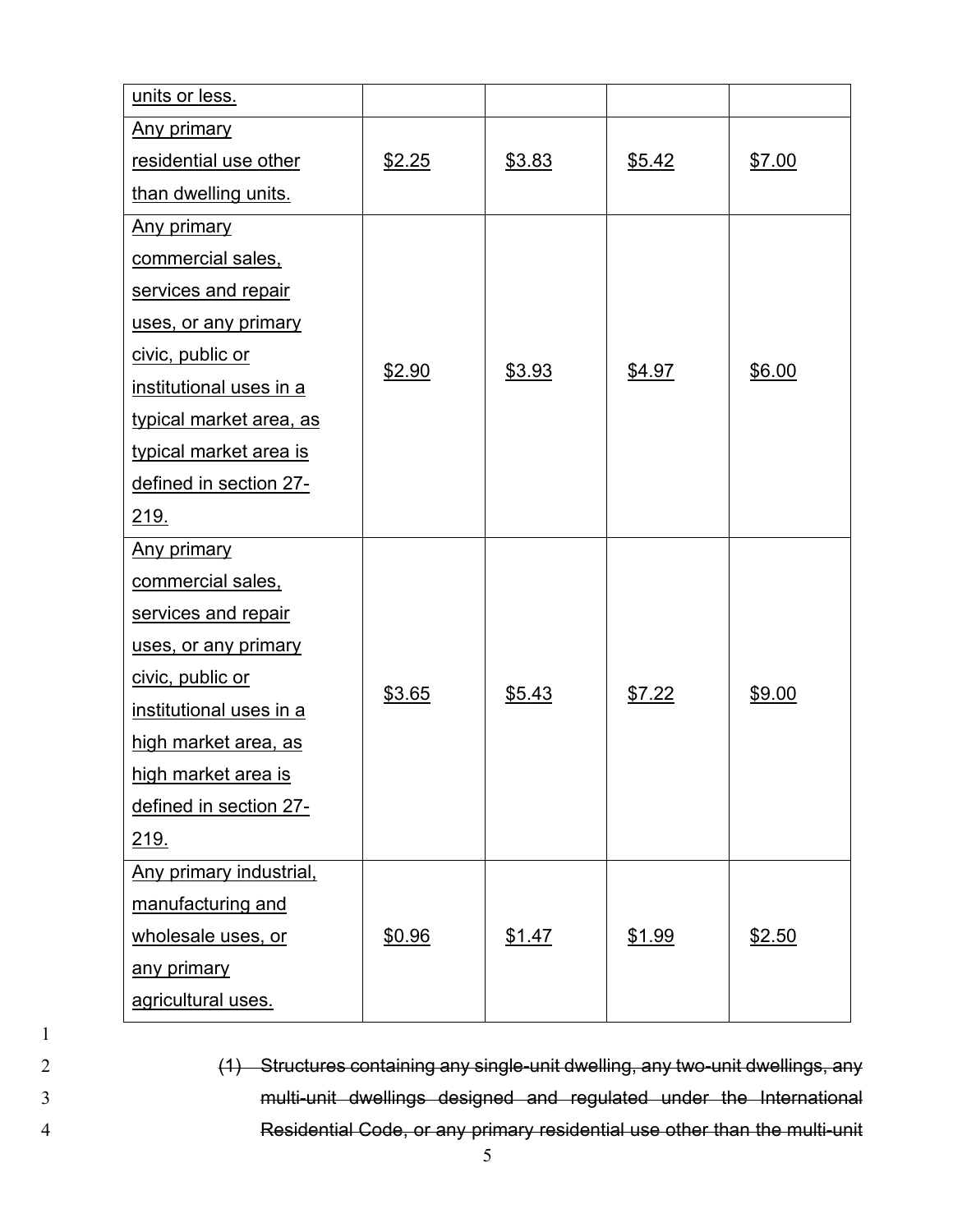| units or less.                  |        |        |        |        |
|---------------------------------|--------|--------|--------|--------|
| <b>Any primary</b>              |        |        |        |        |
| residential use other           | \$2.25 | \$3.83 | \$5.42 | \$7.00 |
| than dwelling units.            |        |        |        |        |
| <b>Any primary</b>              |        |        |        |        |
| commercial sales,               |        |        |        |        |
| services and repair             |        |        |        |        |
| uses, or any primary            |        |        |        |        |
| civic, public or                |        |        |        |        |
| institutional uses in a         | \$2.90 | \$3.93 | \$4.97 | \$6.00 |
| <u>typical market area, as </u> |        |        |        |        |
| typical market area is          |        |        |        |        |
| defined in section 27-          |        |        |        |        |
| <u>219.</u>                     |        |        |        |        |
| <b>Any primary</b>              |        |        |        |        |
| commercial sales,               |        | \$5.43 | \$7.22 | \$9.00 |
| services and repair             |        |        |        |        |
| uses, or any primary            |        |        |        |        |
| civic, public or                |        |        |        |        |
| institutional uses in a         | \$3.65 |        |        |        |
| high market area, as            |        |        |        |        |
| high market area is             |        |        |        |        |
| defined in section 27-          |        |        |        |        |
| 219.                            |        |        |        |        |
| Any primary industrial,         |        |        |        |        |
| manufacturing and               |        |        |        |        |
| wholesale uses, or              | \$0.96 | \$1.47 | \$1.99 | \$2.50 |
| any primary                     |        |        |        |        |
| agricultural uses.              |        |        |        |        |

2 (1) Structures containing any single-unit dwelling, any two-unit dwellings, any 3 multi-unit dwellings designed and regulated under the International 4 Residential Code, or any primary residential use other than the multi-unit

5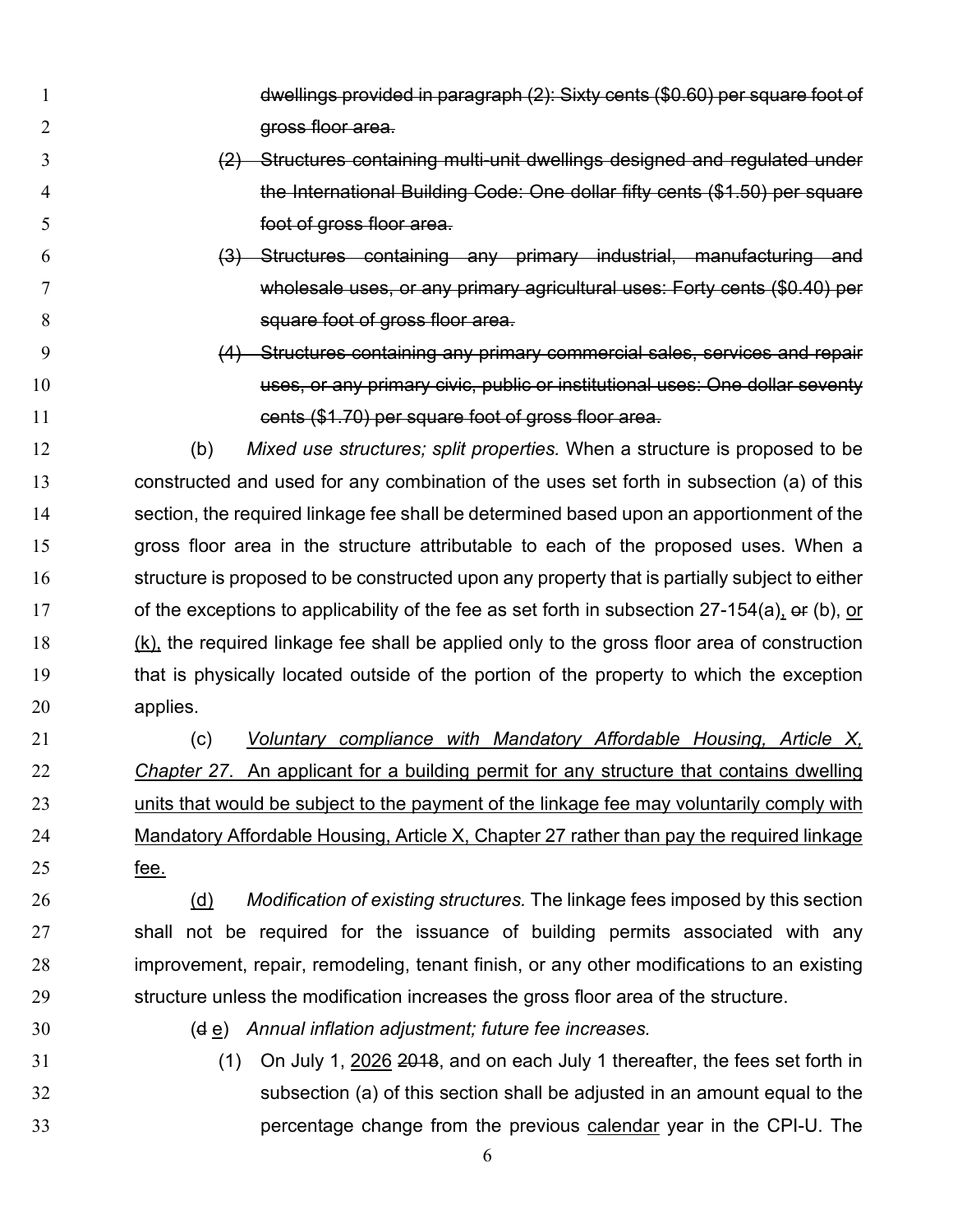|    | dwellings provided in paragraph (2): Sixty cents (\$0.60) per square foot of                      |
|----|---------------------------------------------------------------------------------------------------|
| 2  | gross floor area.                                                                                 |
| 3  | Structures containing multi-unit dwellings designed and regulated under<br>(2)                    |
| 4  | the International Building Code: One dollar fifty cents (\$1.50) per square                       |
| 5  | foot of gross floor area.                                                                         |
| 6  | (3) Structures containing any primary industrial, manufacturing and                               |
| 7  | wholesale uses, or any primary agricultural uses: Forty cents (\$0.40) per                        |
| 8  | square foot of gross floor area.                                                                  |
| 9  | (4) Structures containing any primary commercial sales, services and repair                       |
| 10 | uses, or any primary civic, public or institutional uses: One dollar seventy                      |
| 11 | cents (\$1.70) per square foot of gross floor area.                                               |
| 12 | (b)<br>Mixed use structures, split properties. When a structure is proposed to be                 |
| 13 | constructed and used for any combination of the uses set forth in subsection (a) of this          |
| 14 | section, the required linkage fee shall be determined based upon an apportionment of the          |
| 15 | gross floor area in the structure attributable to each of the proposed uses. When a               |
| 16 | structure is proposed to be constructed upon any property that is partially subject to either     |
| 17 | of the exceptions to applicability of the fee as set forth in subsection $27-154(a)$ , or (b), or |
|    |                                                                                                   |

(k), the required linkage fee shall be applied only to the gross floor area of construction 19 that is physically located outside of the portion of the property to which the exception applies.

(c) *Voluntary compliance with Mandatory Affordable Housing, Article X, Chapter 27*. An applicant for a building permit for any structure that contains dwelling units that would be subject to the payment of the linkage fee may voluntarily comply with Mandatory Affordable Housing, Article X, Chapter 27 rather than pay the required linkage fee.

(d) *Modification of existing structures.* The linkage fees imposed by this section shall not be required for the issuance of building permits associated with any improvement, repair, remodeling, tenant finish, or any other modifications to an existing structure unless the modification increases the gross floor area of the structure.

- (d e) *Annual inflation adjustment; future fee increases.*
- 
- (1) On July 1, 2026 2018, and on each July 1 thereafter, the fees set forth in subsection (a) of this section shall be adjusted in an amount equal to the percentage change from the previous calendar year in the CPI-U. The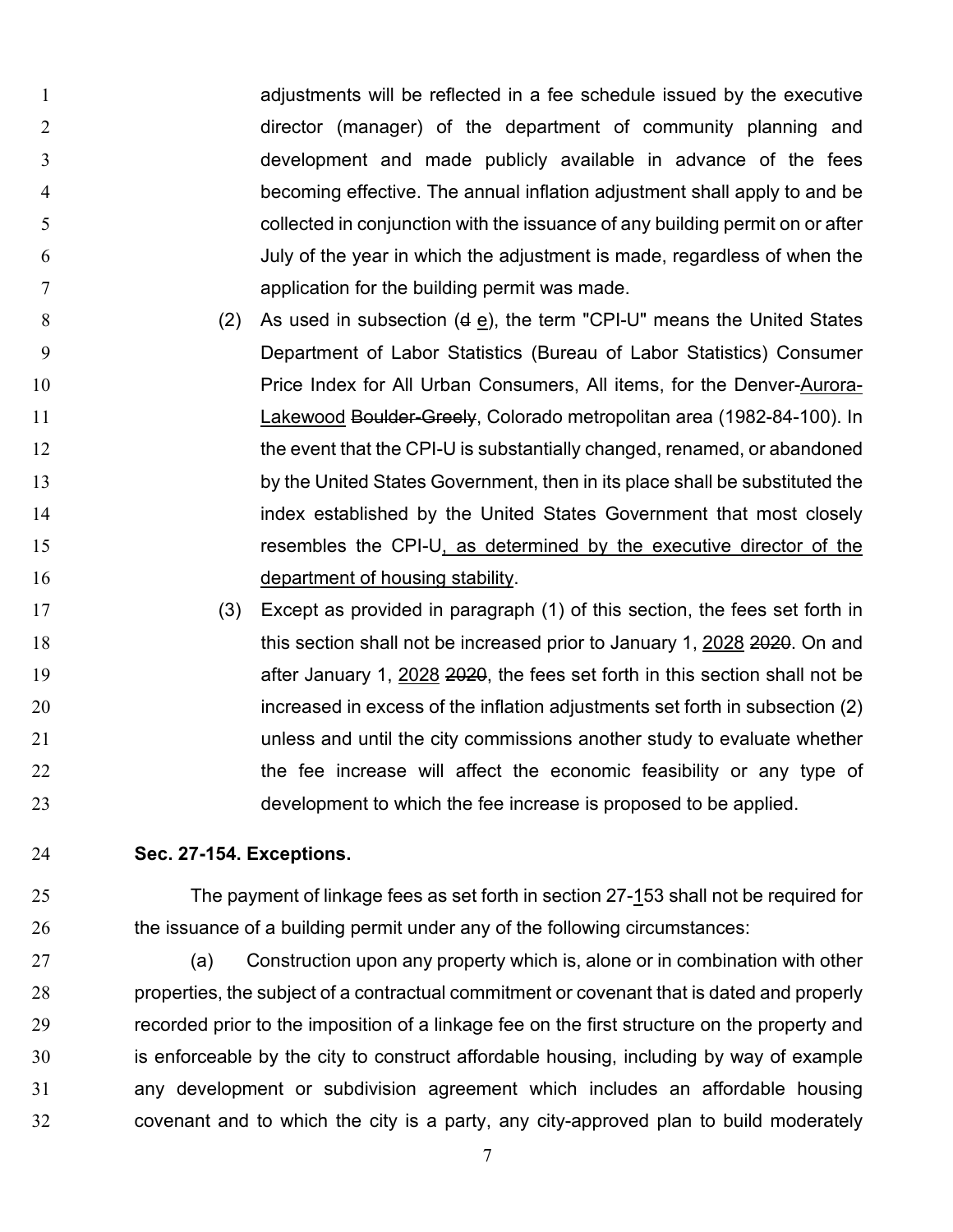adjustments will be reflected in a fee schedule issued by the executive director (manager) of the department of community planning and development and made publicly available in advance of the fees becoming effective. The annual inflation adjustment shall apply to and be collected in conjunction with the issuance of any building permit on or after July of the year in which the adjustment is made, regardless of when the application for the building permit was made.

- 8 (2) As used in subsection  $(d \ e)$ , the term "CPI-U" means the United States Department of Labor Statistics (Bureau of Labor Statistics) Consumer Price Index for All Urban Consumers, All items, for the Denver-Aurora-11 **Lakewood <del>Boulder-Greely</del>, Colorado metropolitan area (1982-84-100).** In 12 the event that the CPI-U is substantially changed, renamed, or abandoned by the United States Government, then in its place shall be substituted the **index established by the United States Government that most closely** resembles the CPI-U, as determined by the executive director of the department of housing stability.
- (3) Except as provided in paragraph (1) of this section, the fees set forth in 18 this section shall not be increased prior to January 1, 2028 2020. On and **after January 1, 2028 2020**, the fees set forth in this section shall not be increased in excess of the inflation adjustments set forth in subsection (2) unless and until the city commissions another study to evaluate whether 22 the fee increase will affect the economic feasibility or any type of development to which the fee increase is proposed to be applied.
- **Sec. 27-154. Exceptions.**

The payment of linkage fees as set forth in section 27-153 shall not be required for the issuance of a building permit under any of the following circumstances:

27 (a) Construction upon any property which is, alone or in combination with other properties, the subject of a contractual commitment or covenant that is dated and properly recorded prior to the imposition of a linkage fee on the first structure on the property and is enforceable by the city to construct affordable housing, including by way of example any development or subdivision agreement which includes an affordable housing covenant and to which the city is a party, any city-approved plan to build moderately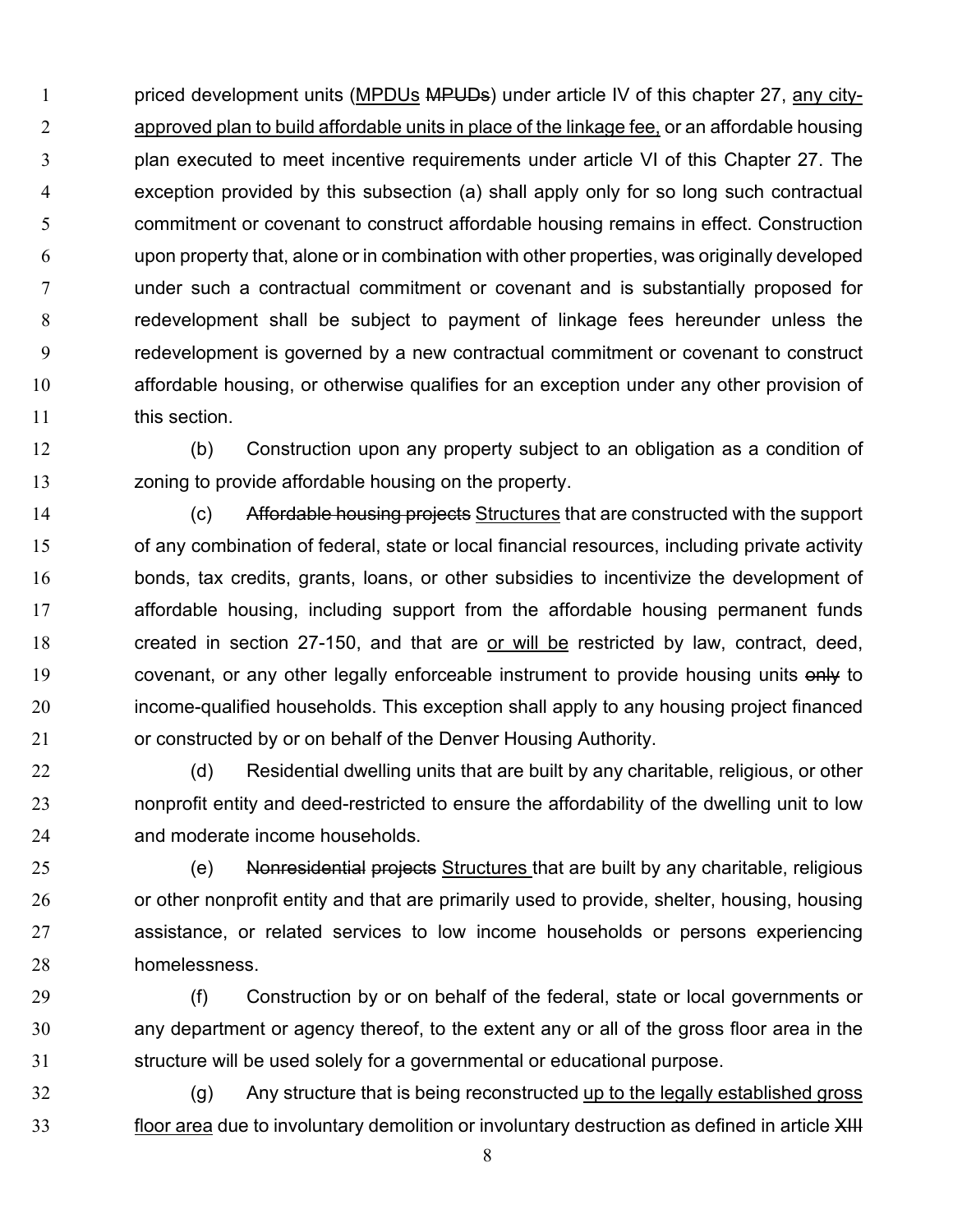1 priced development units (MPDUs MPUDs) under article IV of this chapter 27, any city-2 approved plan to build affordable units in place of the linkage fee, or an affordable housing plan executed to meet incentive requirements under article VI of this Chapter 27. The exception provided by this subsection (a) shall apply only for so long such contractual commitment or covenant to construct affordable housing remains in effect. Construction upon property that, alone or in combination with other properties, was originally developed under such a contractual commitment or covenant and is substantially proposed for redevelopment shall be subject to payment of linkage fees hereunder unless the redevelopment is governed by a new contractual commitment or covenant to construct affordable housing, or otherwise qualifies for an exception under any other provision of 11 this section.

(b) Construction upon any property subject to an obligation as a condition of zoning to provide affordable housing on the property.

(c) Affordable housing projects Structures that are constructed with the support of any combination of federal, state or local financial resources, including private activity bonds, tax credits, grants, loans, or other subsidies to incentivize the development of affordable housing, including support from the affordable housing permanent funds created in section 27-150, and that are or will be restricted by law, contract, deed, 19 covenant, or any other legally enforceable instrument to provide housing units only to income-qualified households. This exception shall apply to any housing project financed or constructed by or on behalf of the Denver Housing Authority.

22 (d) Residential dwelling units that are built by any charitable, religious, or other nonprofit entity and deed-restricted to ensure the affordability of the dwelling unit to low and moderate income households.

(e) Nonresidential projects Structures that are built by any charitable, religious 26 or other nonprofit entity and that are primarily used to provide, shelter, housing, housing assistance, or related services to low income households or persons experiencing homelessness.

29 (f) Construction by or on behalf of the federal, state or local governments or any department or agency thereof, to the extent any or all of the gross floor area in the structure will be used solely for a governmental or educational purpose.

32 (g) Any structure that is being reconstructed up to the legally established gross 33 floor area due to involuntary demolition or involuntary destruction as defined in article XIII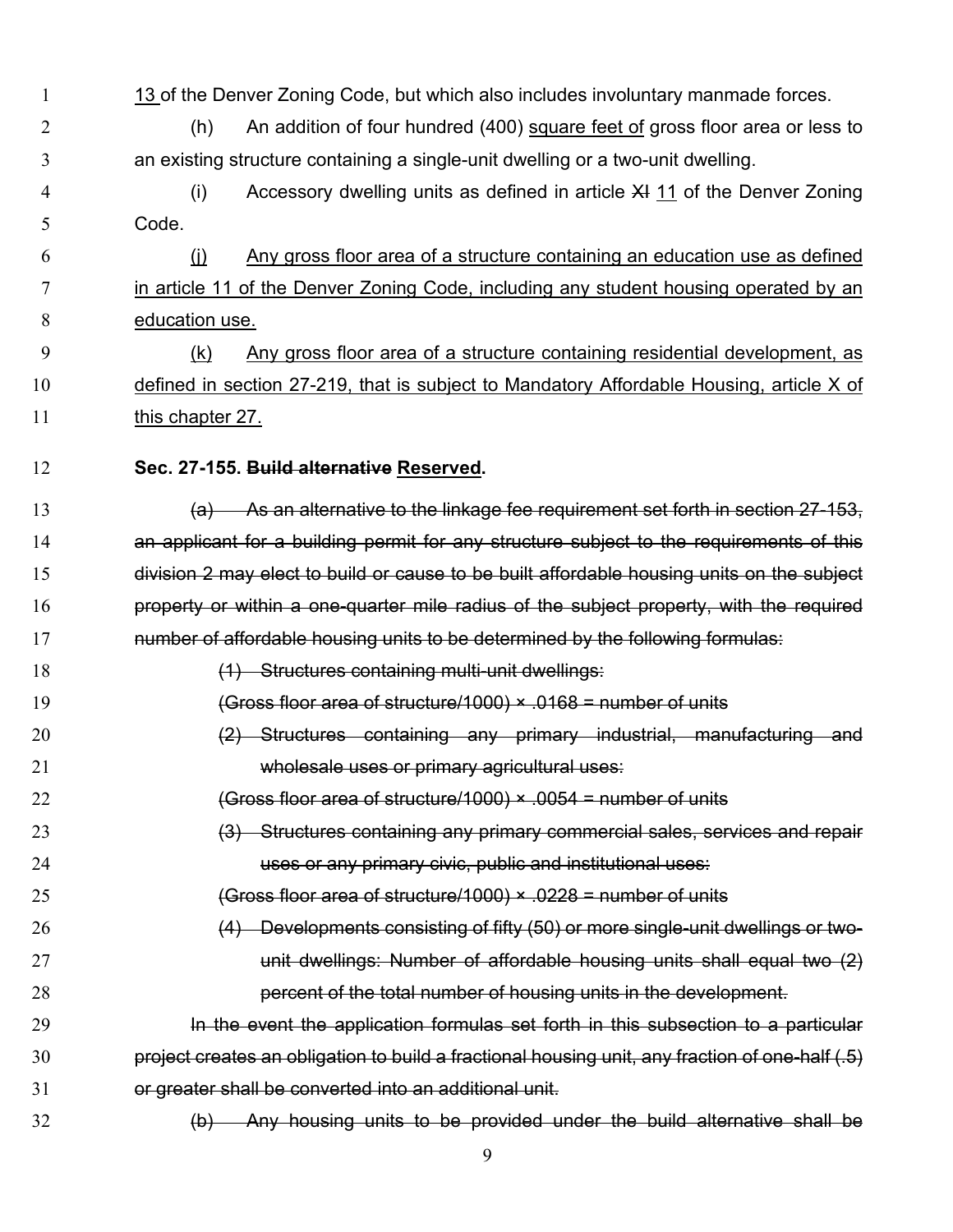13 of the Denver Zoning Code, but which also includes involuntary manmade forces.

2 (h) An addition of four hundred (400) square feet of gross floor area or less to an existing structure containing a single-unit dwelling or a two-unit dwelling.

4 (i) Accessory dwelling units as defined in article XI 11 of the Denver Zoning Code.

(j) Any gross floor area of a structure containing an education use as defined 7 in article 11 of the Denver Zoning Code, including any student housing operated by an education use.

(k) Any gross floor area of a structure containing residential development, as defined in section 27-219, that is subject to Mandatory Affordable Housing, article X of this chapter 27.

#### **Sec. 27-155. Build alternative Reserved.**

(a) As an alternative to the linkage fee requirement set forth in section 27-153, 14 an applicant for a building permit for any structure subject to the requirements of this division 2 may elect to build or cause to be built affordable housing units on the subject property or within a one-quarter mile radius of the subject property, with the required number of affordable housing units to be determined by the following formulas: (1) Structures containing multi-unit dwellings:

(Gross floor area of structure/1000) × .0168 = number of units

(2) Structures containing any primary industrial, manufacturing and wholesale uses or primary agricultural uses:

(Gross floor area of structure/1000) × .0054 = number of units

(3) Structures containing any primary commercial sales, services and repair uses or any primary civic, public and institutional uses:

(Gross floor area of structure/1000) × .0228 = number of units

(4) Developments consisting of fifty (50) or more single-unit dwellings or two-unit dwellings: Number of affordable housing units shall equal two (2) percent of the total number of housing units in the development.

**In the event the application formulas set forth in this subsection to a particular** project creates an obligation to build a fractional housing unit, any fraction of one-half (.5) or greater shall be converted into an additional unit.

(b) Any housing units to be provided under the build alternative shall be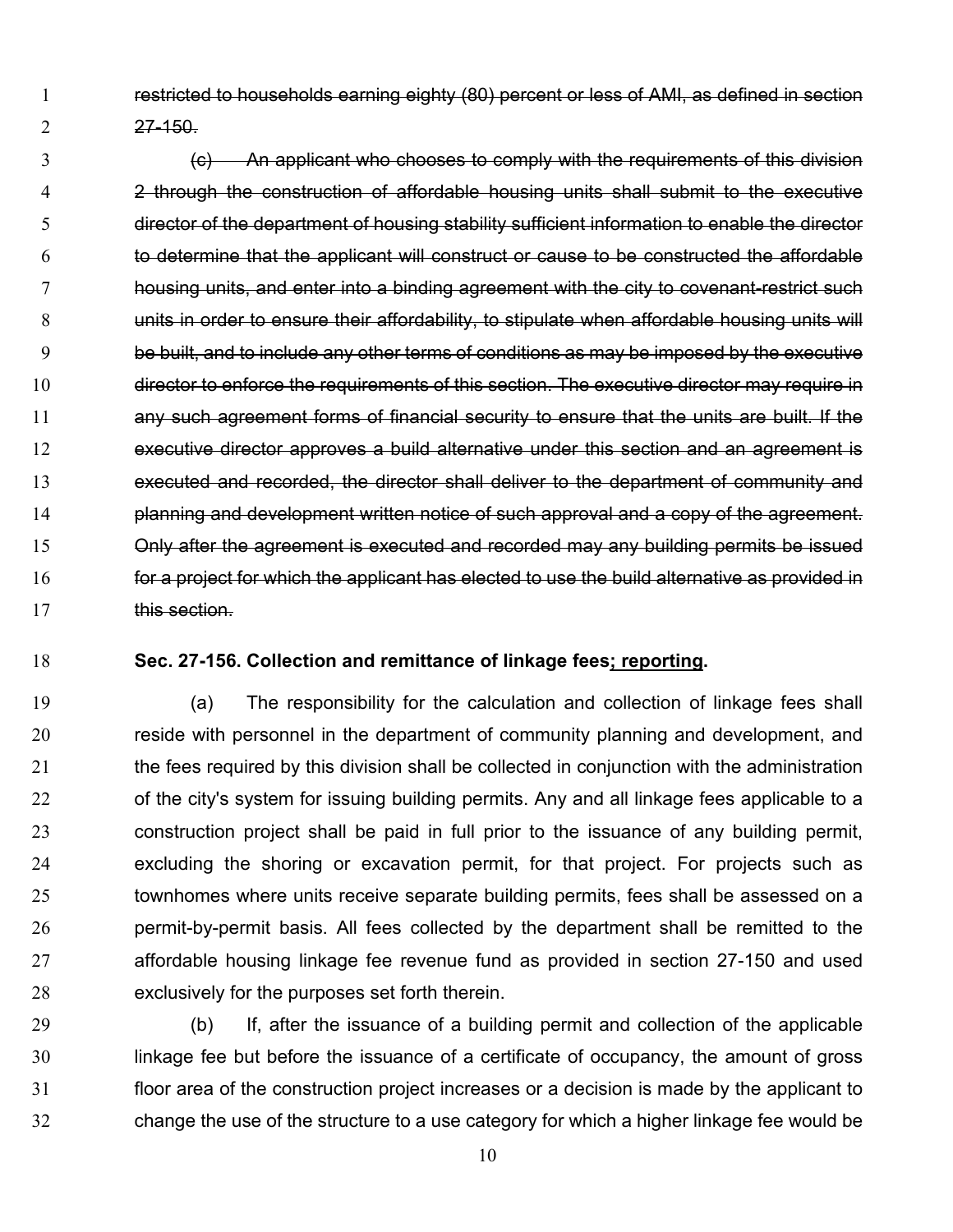restricted to households earning eighty (80) percent or less of AMI, as defined in section 27-150.

(c) An applicant who chooses to comply with the requirements of this division 2 through the construction of affordable housing units shall submit to the executive director of the department of housing stability sufficient information to enable the director to determine that the applicant will construct or cause to be constructed the affordable housing units, and enter into a binding agreement with the city to covenant-restrict such units in order to ensure their affordability, to stipulate when affordable housing units will be built, and to include any other terms of conditions as may be imposed by the executive 10 director to enforce the requirements of this section. The executive director may require in any such agreement forms of financial security to ensure that the units are built. If the executive director approves a build alternative under this section and an agreement is executed and recorded, the director shall deliver to the department of community and **planning and development written notice of such approval and a copy of the agreement.** Only after the agreement is executed and recorded may any building permits be issued **for a project for which the applicant has elected to use the build alternative as provided in this section.** 

#### **Sec. 27-156. Collection and remittance of linkage fees; reporting.**

(a) The responsibility for the calculation and collection of linkage fees shall reside with personnel in the department of community planning and development, and the fees required by this division shall be collected in conjunction with the administration 22 of the city's system for issuing building permits. Any and all linkage fees applicable to a construction project shall be paid in full prior to the issuance of any building permit, excluding the shoring or excavation permit, for that project. For projects such as 25 townhomes where units receive separate building permits, fees shall be assessed on a permit-by-permit basis. All fees collected by the department shall be remitted to the affordable housing linkage fee revenue fund as provided in section 27-150 and used exclusively for the purposes set forth therein.

(b) If, after the issuance of a building permit and collection of the applicable linkage fee but before the issuance of a certificate of occupancy, the amount of gross floor area of the construction project increases or a decision is made by the applicant to change the use of the structure to a use category for which a higher linkage fee would be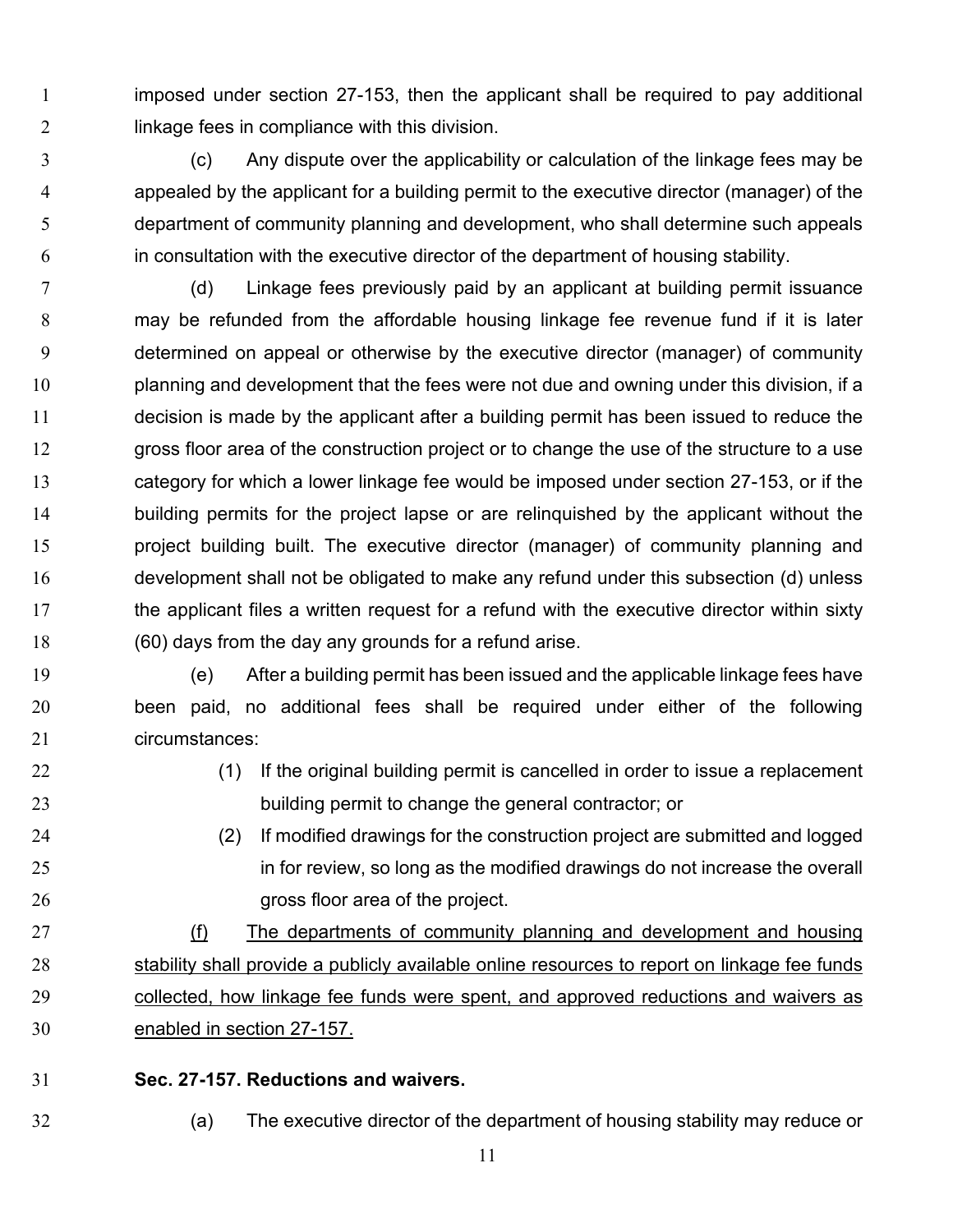imposed under section 27-153, then the applicant shall be required to pay additional 2 linkage fees in compliance with this division.

(c) Any dispute over the applicability or calculation of the linkage fees may be appealed by the applicant for a building permit to the executive director (manager) of the department of community planning and development, who shall determine such appeals in consultation with the executive director of the department of housing stability.

(d) Linkage fees previously paid by an applicant at building permit issuance may be refunded from the affordable housing linkage fee revenue fund if it is later determined on appeal or otherwise by the executive director (manager) of community planning and development that the fees were not due and owning under this division, if a decision is made by the applicant after a building permit has been issued to reduce the gross floor area of the construction project or to change the use of the structure to a use category for which a lower linkage fee would be imposed under section 27-153, or if the building permits for the project lapse or are relinquished by the applicant without the project building built. The executive director (manager) of community planning and development shall not be obligated to make any refund under this subsection (d) unless 17 the applicant files a written request for a refund with the executive director within sixty (60) days from the day any grounds for a refund arise.

(e) After a building permit has been issued and the applicable linkage fees have been paid, no additional fees shall be required under either of the following circumstances:

- (1) If the original building permit is cancelled in order to issue a replacement building permit to change the general contractor; or
- (2) If modified drawings for the construction project are submitted and logged 25 in for review, so long as the modified drawings do not increase the overall gross floor area of the project.

27 (f) The departments of community planning and development and housing 28 stability shall provide a publicly available online resources to report on linkage fee funds collected, how linkage fee funds were spent, and approved reductions and waivers as enabled in section 27-157.

## **Sec. 27-157. Reductions and waivers.**

(a) The executive director of the department of housing stability may reduce or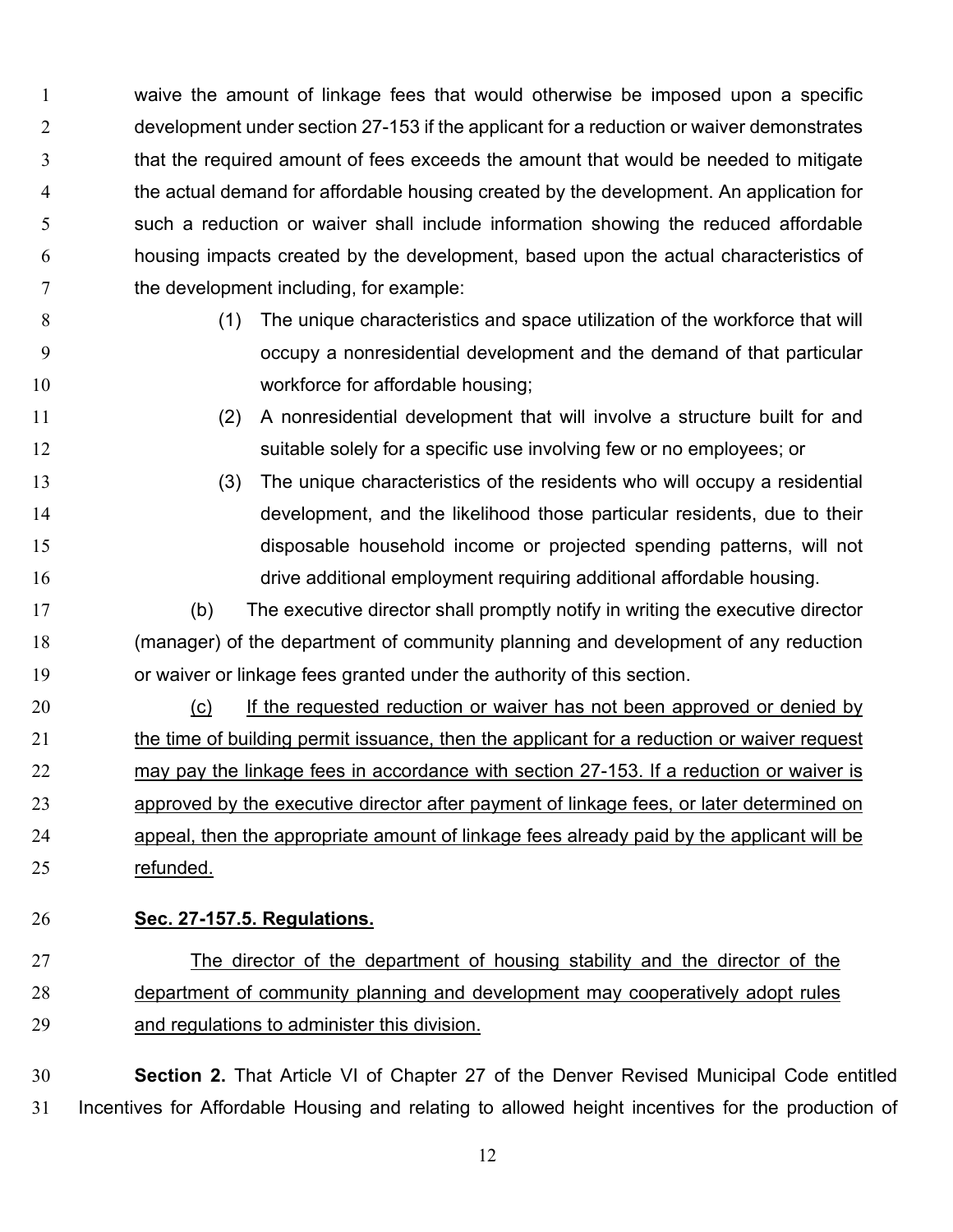waive the amount of linkage fees that would otherwise be imposed upon a specific development under section 27-153 if the applicant for a reduction or waiver demonstrates that the required amount of fees exceeds the amount that would be needed to mitigate the actual demand for affordable housing created by the development. An application for such a reduction or waiver shall include information showing the reduced affordable housing impacts created by the development, based upon the actual characteristics of  $7 \t\t the development including, for example:$ 

- 
- (1) The unique characteristics and space utilization of the workforce that will occupy a nonresidential development and the demand of that particular 10 workforce for affordable housing;
- (2) A nonresidential development that will involve a structure built for and 12 suitable solely for a specific use involving few or no employees; or
- (3) The unique characteristics of the residents who will occupy a residential development, and the likelihood those particular residents, due to their disposable household income or projected spending patterns, will not drive additional employment requiring additional affordable housing.
- (b) The executive director shall promptly notify in writing the executive director (manager) of the department of community planning and development of any reduction or waiver or linkage fees granted under the authority of this section.

20 (c) If the requested reduction or waiver has not been approved or denied by 21 the time of building permit issuance, then the applicant for a reduction or waiver request may pay the linkage fees in accordance with section 27-153. If a reduction or waiver is approved by the executive director after payment of linkage fees, or later determined on appeal, then the appropriate amount of linkage fees already paid by the applicant will be refunded.

**Sec. 27-157.5. Regulations.**

# The director of the department of housing stability and the director of the department of community planning and development may cooperatively adopt rules and regulations to administer this division.

**Section 2.** That Article VI of Chapter 27 of the Denver Revised Municipal Code entitled Incentives for Affordable Housing and relating to allowed height incentives for the production of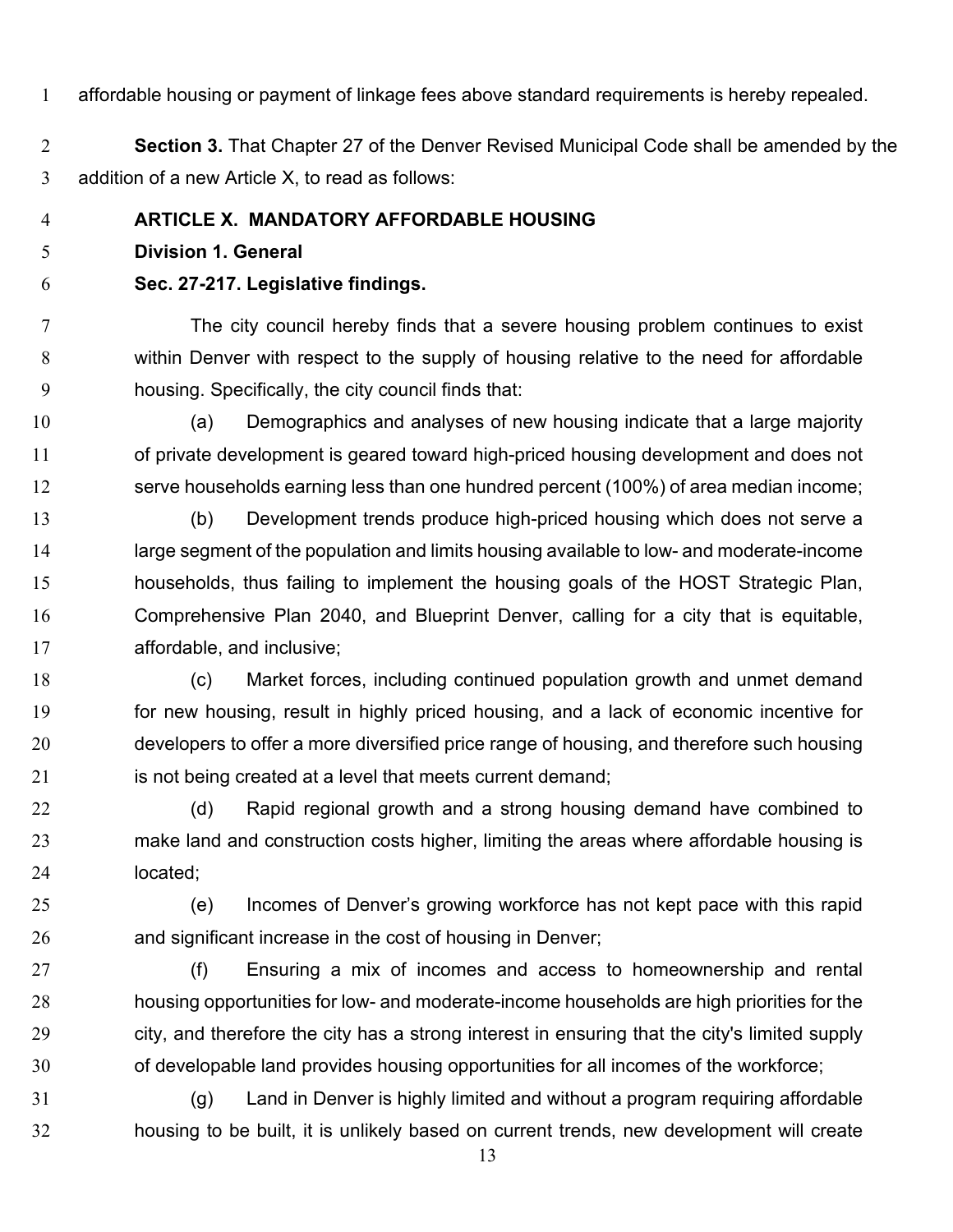affordable housing or payment of linkage fees above standard requirements is hereby repealed.

 **Section 3.** That Chapter 27 of the Denver Revised Municipal Code shall be amended by the addition of a new Article X, to read as follows:

**ARTICLE X. MANDATORY AFFORDABLE HOUSING**

**Division 1. General**

**Sec. 27-217. Legislative findings.**

 The city council hereby finds that a severe housing problem continues to exist within Denver with respect to the supply of housing relative to the need for affordable housing. Specifically, the city council finds that:

- (a) Demographics and analyses of new housing indicate that a large majority of private development is geared toward high-priced housing development and does not serve households earning less than one hundred percent (100%) of area median income;
- (b) Development trends produce high-priced housing which does not serve a large segment of the population and limits housing available to low- and moderate-income households, thus failing to implement the housing goals of the HOST Strategic Plan, Comprehensive Plan 2040, and Blueprint Denver, calling for a city that is equitable, affordable, and inclusive;
- (c) Market forces, including continued population growth and unmet demand for new housing, result in highly priced housing, and a lack of economic incentive for developers to offer a more diversified price range of housing, and therefore such housing is not being created at a level that meets current demand;

22 (d) Rapid regional growth and a strong housing demand have combined to make land and construction costs higher, limiting the areas where affordable housing is located;

- (e) Incomes of Denver's growing workforce has not kept pace with this rapid and significant increase in the cost of housing in Denver;
- 27 (f) Ensuring a mix of incomes and access to homeownership and rental housing opportunities for low- and moderate-income households are high priorities for the city, and therefore the city has a strong interest in ensuring that the city's limited supply of developable land provides housing opportunities for all incomes of the workforce;
- (g) Land in Denver is highly limited and without a program requiring affordable housing to be built, it is unlikely based on current trends, new development will create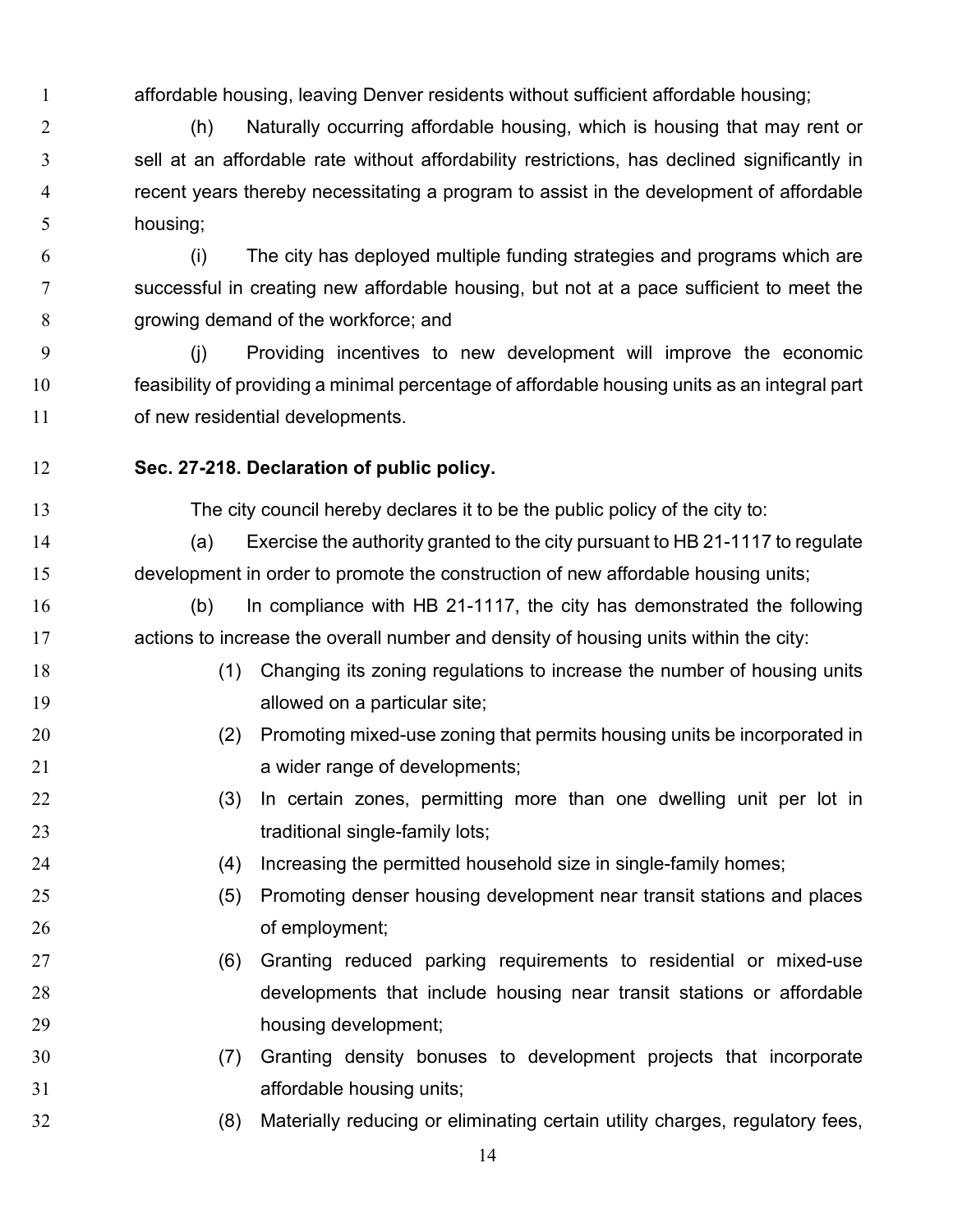affordable housing, leaving Denver residents without sufficient affordable housing;

 (h) Naturally occurring affordable housing, which is housing that may rent or sell at an affordable rate without affordability restrictions, has declined significantly in recent years thereby necessitating a program to assist in the development of affordable housing;

 (i) The city has deployed multiple funding strategies and programs which are successful in creating new affordable housing, but not at a pace sufficient to meet the growing demand of the workforce; and

 (j) Providing incentives to new development will improve the economic feasibility of providing a minimal percentage of affordable housing units as an integral part of new residential developments.

# **Sec. 27-218. Declaration of public policy.**

The city council hereby declares it to be the public policy of the city to:

 (a) Exercise the authority granted to the city pursuant to HB 21-1117 to regulate development in order to promote the construction of new affordable housing units;

 (b) In compliance with HB 21-1117, the city has demonstrated the following actions to increase the overall number and density of housing units within the city:

- (1) Changing its zoning regulations to increase the number of housing units **allowed on a particular site;**
- (2) Promoting mixed-use zoning that permits housing units be incorporated in **a** wider range of developments;
- (3) In certain zones, permitting more than one dwelling unit per lot in 23 traditional single-family lots;
- (4) Increasing the permitted household size in single-family homes;
- (5) Promoting denser housing development near transit stations and places 26 of employment;
- (6) Granting reduced parking requirements to residential or mixed-use developments that include housing near transit stations or affordable housing development;
- (7) Granting density bonuses to development projects that incorporate **affordable housing units;**
- (8) Materially reducing or eliminating certain utility charges, regulatory fees,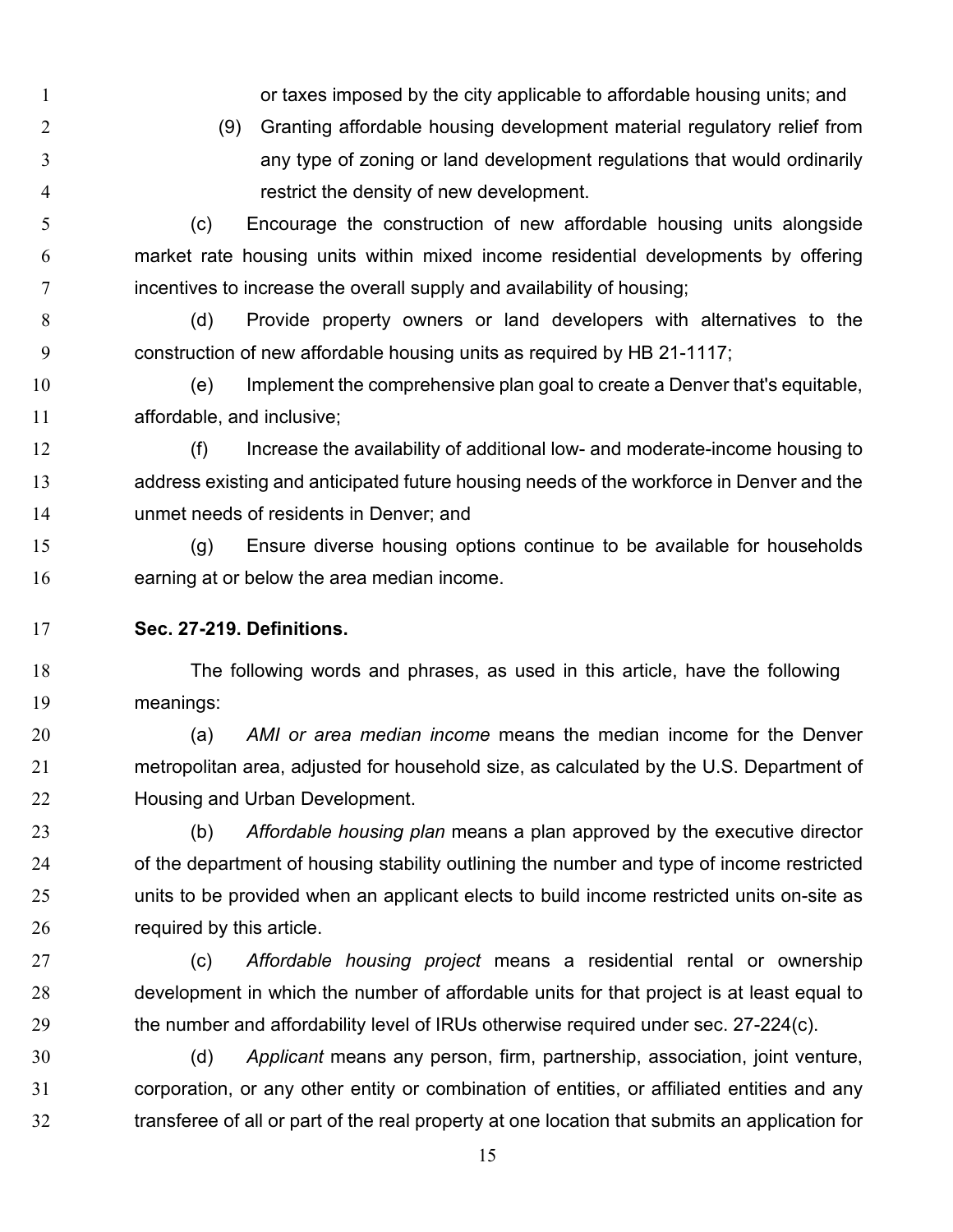**1** or taxes imposed by the city applicable to affordable housing units; and

 (9) Granting affordable housing development material regulatory relief from any type of zoning or land development regulations that would ordinarily restrict the density of new development.

 (c) Encourage the construction of new affordable housing units alongside market rate housing units within mixed income residential developments by offering **incentives to increase the overall supply and availability of housing;** 

 (d) Provide property owners or land developers with alternatives to the construction of new affordable housing units as required by HB 21-1117;

 (e) Implement the comprehensive plan goal to create a Denver that's equitable, affordable, and inclusive;

 (f) Increase the availability of additional low- and moderate-income housing to address existing and anticipated future housing needs of the workforce in Denver and the unmet needs of residents in Denver; and

 (g) Ensure diverse housing options continue to be available for households earning at or below the area median income.

#### **Sec. 27-219. Definitions.**

 The following words and phrases, as used in this article, have the following meanings:

 (a) *AMI or area median income* means the median income for the Denver metropolitan area, adjusted for household size, as calculated by the U.S. Department of Housing and Urban Development.

 (b) *Affordable housing plan* means a plan approved by the executive director 24 of the department of housing stability outlining the number and type of income restricted units to be provided when an applicant elects to build income restricted units on-site as required by this article.

 (c) *Affordable housing project* means a residential rental or ownership development in which the number of affordable units for that project is at least equal to the number and affordability level of IRUs otherwise required under sec. 27-224(c).

 (d) *Applicant* means any person, firm, partnership, association, joint venture, corporation, or any other entity or combination of entities, or affiliated entities and any transferee of all or part of the real property at one location that submits an application for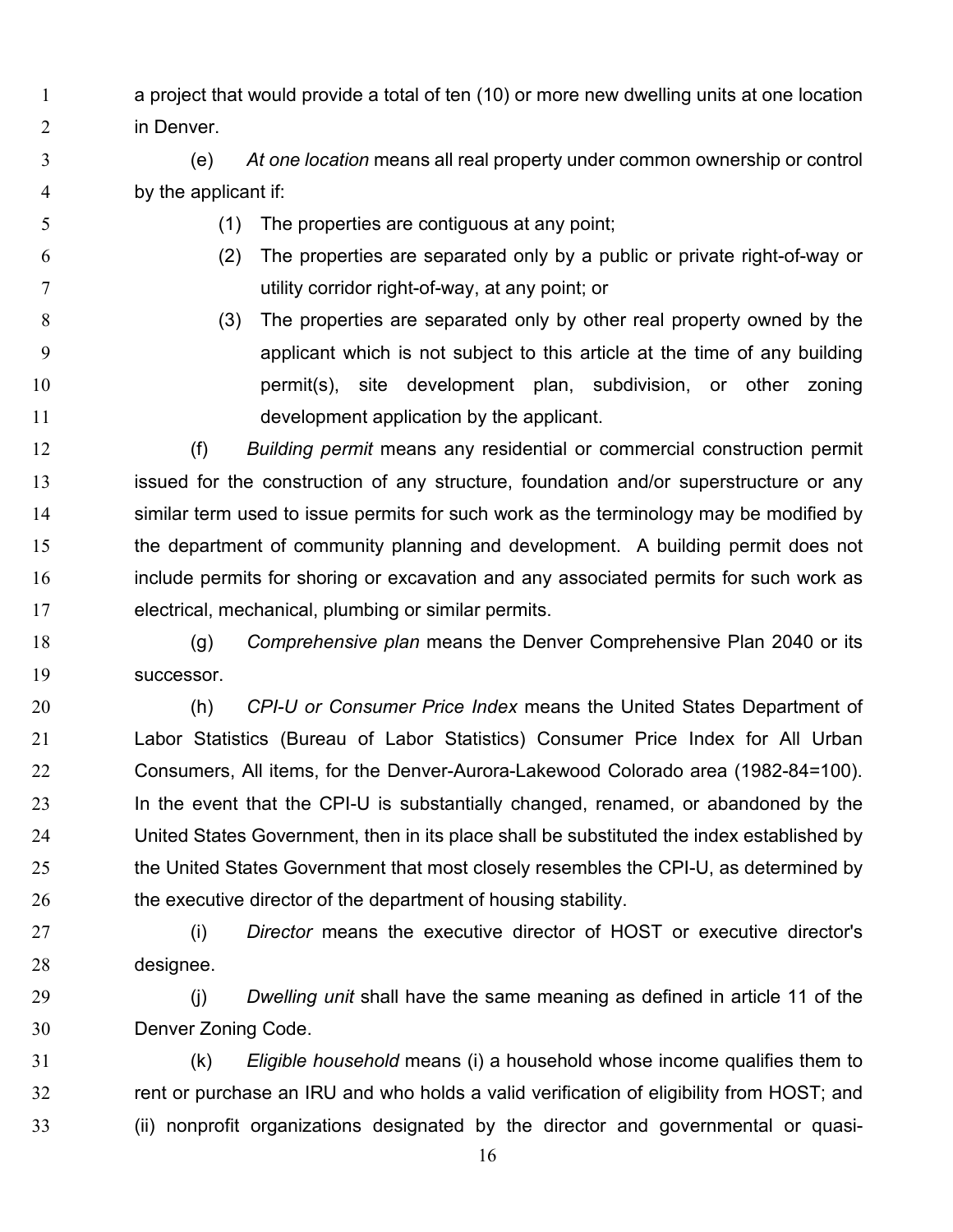- a project that would provide a total of ten (10) or more new dwelling units at one location in Denver.
- (e) *At one location* means all real property under common ownership or control by the applicant if:
- (1) The properties are contiguous at any point;
- (2) The properties are separated only by a public or private right-of-way or utility corridor right-of-way, at any point; or
- (3) The properties are separated only by other real property owned by the applicant which is not subject to this article at the time of any building **permit(s)**, site development plan, subdivision, or other zoning development application by the applicant.

 (f) *Building permit* means any residential or commercial construction permit issued for the construction of any structure, foundation and/or superstructure or any similar term used to issue permits for such work as the terminology may be modified by the department of community planning and development. A building permit does not include permits for shoring or excavation and any associated permits for such work as electrical, mechanical, plumbing or similar permits.

 (g) *Comprehensive plan* means the Denver Comprehensive Plan 2040 or its 19 successor.

 (h) *CPI-U or Consumer Price Index* means the United States Department of Labor Statistics (Bureau of Labor Statistics) Consumer Price Index for All Urban Consumers, All items, for the Denver-Aurora-Lakewood Colorado area (1982-84=100). In the event that the CPI-U is substantially changed, renamed, or abandoned by the United States Government, then in its place shall be substituted the index established by the United States Government that most closely resembles the CPI-U, as determined by 26 the executive director of the department of housing stability.

- (i) *Director* means the executive director of HOST or executive director's designee.
- (j) *Dwelling unit* shall have the same meaning as defined in article 11 of the Denver Zoning Code.

 (k) *Eligible household* means (i) a household whose income qualifies them to rent or purchase an IRU and who holds a valid verification of eligibility from HOST; and (ii) nonprofit organizations designated by the director and governmental or quasi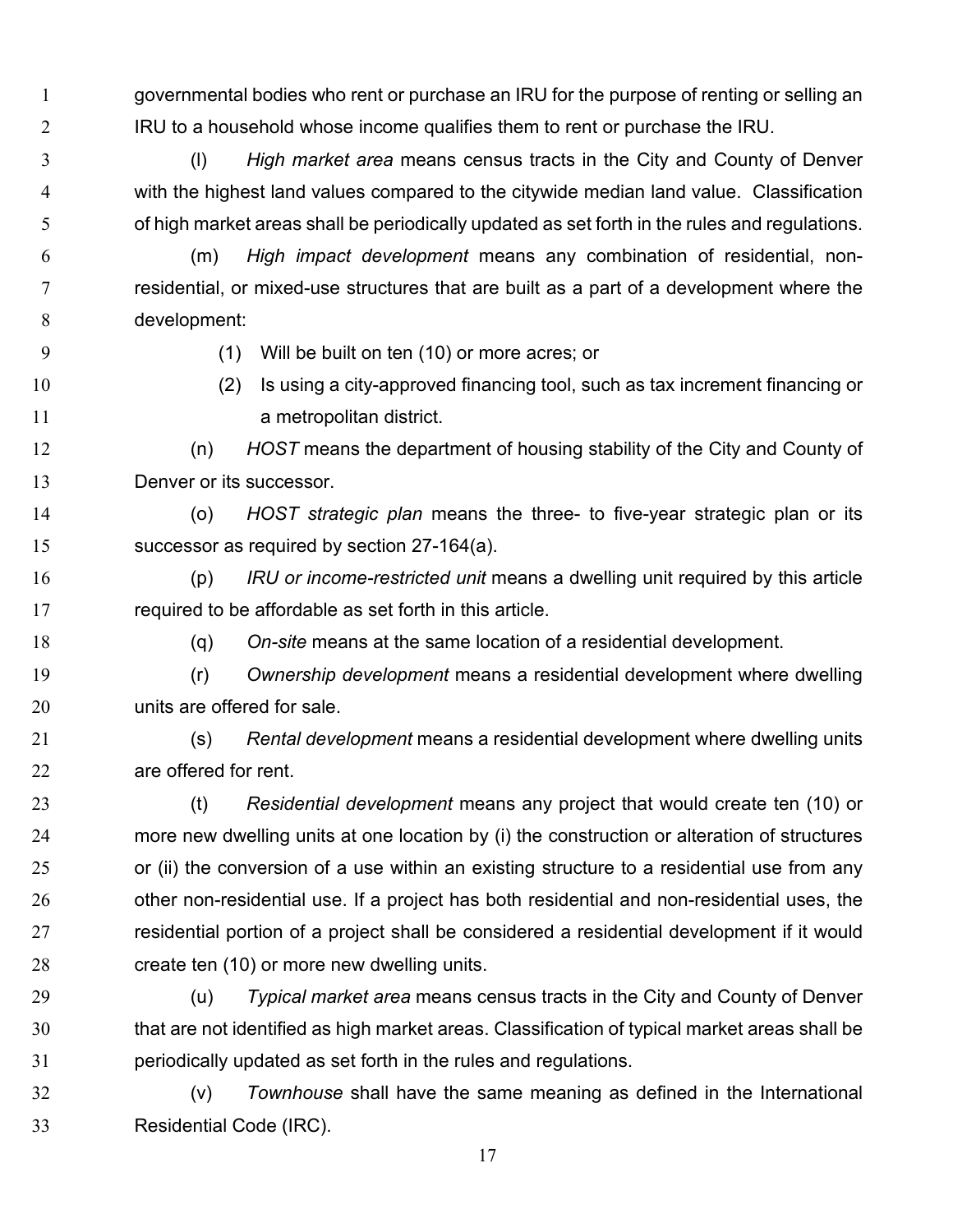governmental bodies who rent or purchase an IRU for the purpose of renting or selling an IRU to a household whose income qualifies them to rent or purchase the IRU.

 (l) *High market area* means census tracts in the City and County of Denver with the highest land values compared to the citywide median land value. Classification of high market areas shall be periodically updated as set forth in the rules and regulations.

 (m) *High impact development* means any combination of residential, non- residential, or mixed-use structures that are built as a part of a development where the development:

(1) Will be built on ten (10) or more acres; or

 (2) Is using a city-approved financing tool, such as tax increment financing or **a metropolitan district.** 

 (n) *HOST* means the department of housing stability of the City and County of Denver or its successor.

 (o) *HOST strategic plan* means the three- to five-year strategic plan or its successor as required by section 27-164(a).

 (p) *IRU or income-restricted unit* means a dwelling unit required by this article required to be affordable as set forth in this article.

(q) *On-site* means at the same location of a residential development.

 (r) *Ownership development* means a residential development where dwelling units are offered for sale.

 (s) *Rental development* means a residential development where dwelling units are offered for rent.

 (t) *Residential development* means any project that would create ten (10) or more new dwelling units at one location by (i) the construction or alteration of structures 25 or (ii) the conversion of a use within an existing structure to a residential use from any 26 other non-residential use. If a project has both residential and non-residential uses, the residential portion of a project shall be considered a residential development if it would create ten (10) or more new dwelling units.

 (u) *Typical market area* means census tracts in the City and County of Denver that are not identified as high market areas. Classification of typical market areas shall be periodically updated as set forth in the rules and regulations.

 (v) *Townhouse* shall have the same meaning as defined in the International Residential Code (IRC).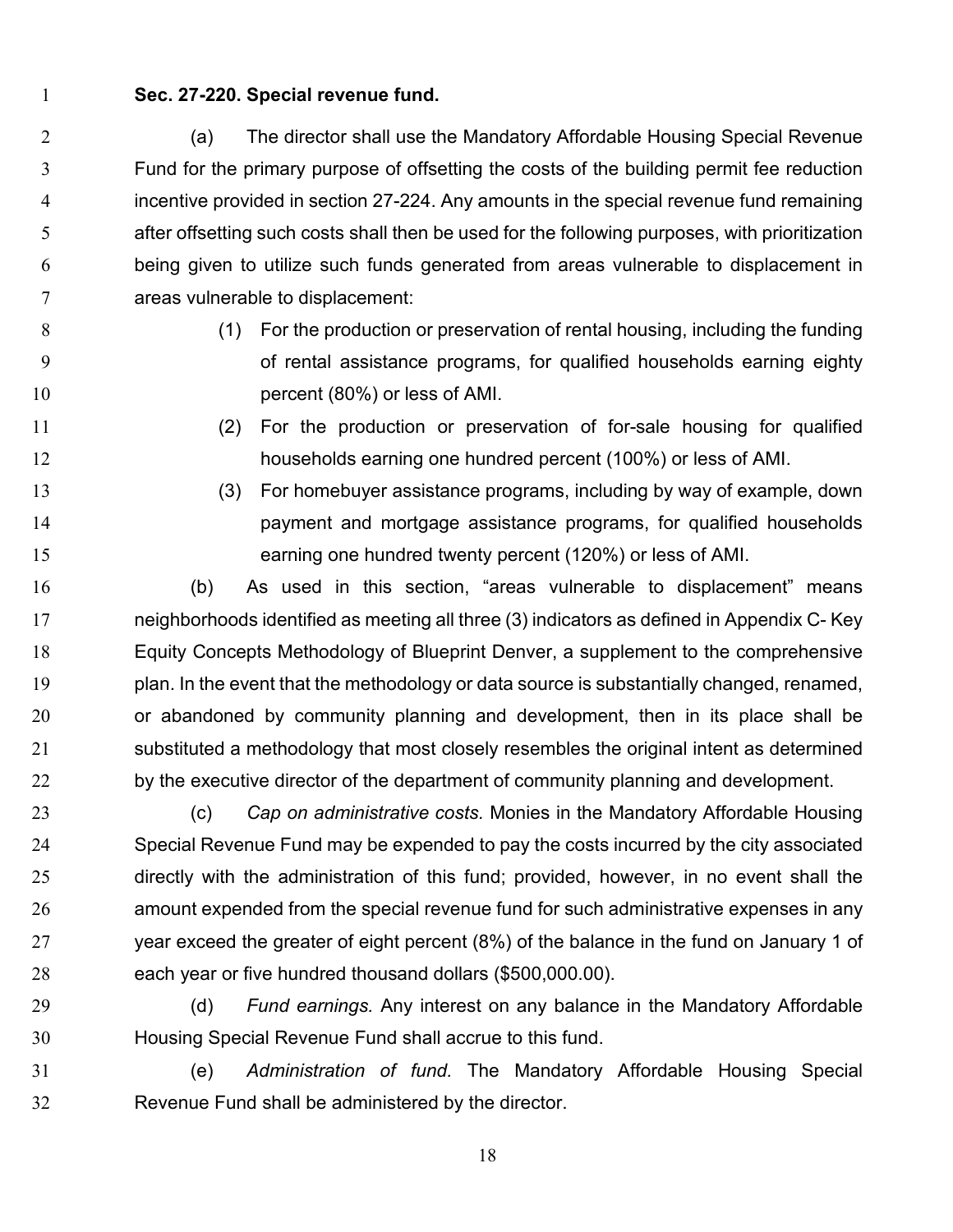#### **Sec. 27-220. Special revenue fund.**

 (a) The director shall use the Mandatory Affordable Housing Special Revenue Fund for the primary purpose of offsetting the costs of the building permit fee reduction incentive provided in section 27-224. Any amounts in the special revenue fund remaining after offsetting such costs shall then be used for the following purposes, with prioritization being given to utilize such funds generated from areas vulnerable to displacement in areas vulnerable to displacement:

- 
- (1) For the production or preservation of rental housing, including the funding of rental assistance programs, for qualified households earning eighty **percent (80%)** or less of AMI.
	-
- 
- (2) For the production or preservation of for-sale housing for qualified households earning one hundred percent (100%) or less of AMI.
- (3) For homebuyer assistance programs, including by way of example, down payment and mortgage assistance programs, for qualified households earning one hundred twenty percent (120%) or less of AMI.

 (b) As used in this section, "areas vulnerable to displacement" means neighborhoods identified as meeting all three (3) indicators as defined in Appendix C- Key Equity Concepts Methodology of Blueprint Denver, a supplement to the comprehensive plan. In the event that the methodology or data source is substantially changed, renamed, or abandoned by community planning and development, then in its place shall be substituted a methodology that most closely resembles the original intent as determined by the executive director of the department of community planning and development.

 (c) *Cap on administrative costs.* Monies in the Mandatory Affordable Housing Special Revenue Fund may be expended to pay the costs incurred by the city associated directly with the administration of this fund; provided, however, in no event shall the amount expended from the special revenue fund for such administrative expenses in any year exceed the greater of eight percent (8%) of the balance in the fund on January 1 of each year or five hundred thousand dollars (\$500,000.00).

 (d) *Fund earnings.* Any interest on any balance in the Mandatory Affordable Housing Special Revenue Fund shall accrue to this fund.

 (e) *Administration of fund.* The Mandatory Affordable Housing Special Revenue Fund shall be administered by the director.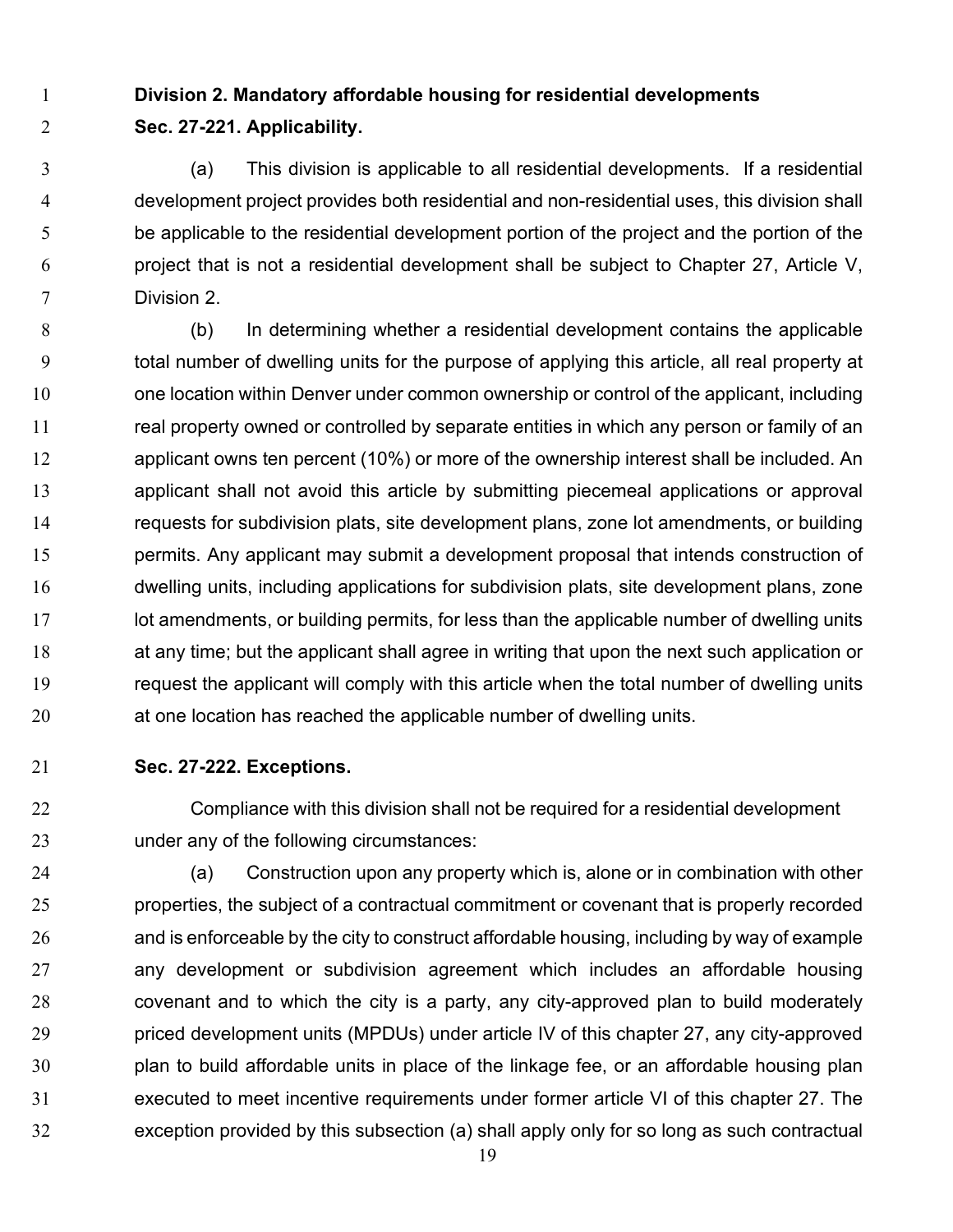# **Division 2. Mandatory affordable housing for residential developments**

**Sec. 27-221. Applicability.**

 (a) This division is applicable to all residential developments. If a residential development project provides both residential and non-residential uses, this division shall be applicable to the residential development portion of the project and the portion of the project that is not a residential development shall be subject to Chapter 27, Article V, Division 2.

 (b) In determining whether a residential development contains the applicable total number of dwelling units for the purpose of applying this article, all real property at one location within Denver under common ownership or control of the applicant, including real property owned or controlled by separate entities in which any person or family of an applicant owns ten percent (10%) or more of the ownership interest shall be included. An applicant shall not avoid this article by submitting piecemeal applications or approval requests for subdivision plats, site development plans, zone lot amendments, or building permits. Any applicant may submit a development proposal that intends construction of dwelling units, including applications for subdivision plats, site development plans, zone 17 lot amendments, or building permits, for less than the applicable number of dwelling units 18 at any time; but the applicant shall agree in writing that upon the next such application or request the applicant will comply with this article when the total number of dwelling units at one location has reached the applicable number of dwelling units.

## **Sec. 27-222. Exceptions.**

 Compliance with this division shall not be required for a residential development under any of the following circumstances:

 (a) Construction upon any property which is, alone or in combination with other properties, the subject of a contractual commitment or covenant that is properly recorded and is enforceable by the city to construct affordable housing, including by way of example any development or subdivision agreement which includes an affordable housing covenant and to which the city is a party, any city-approved plan to build moderately priced development units (MPDUs) under article IV of this chapter 27, any city-approved plan to build affordable units in place of the linkage fee, or an affordable housing plan executed to meet incentive requirements under former article VI of this chapter 27. The exception provided by this subsection (a) shall apply only for so long as such contractual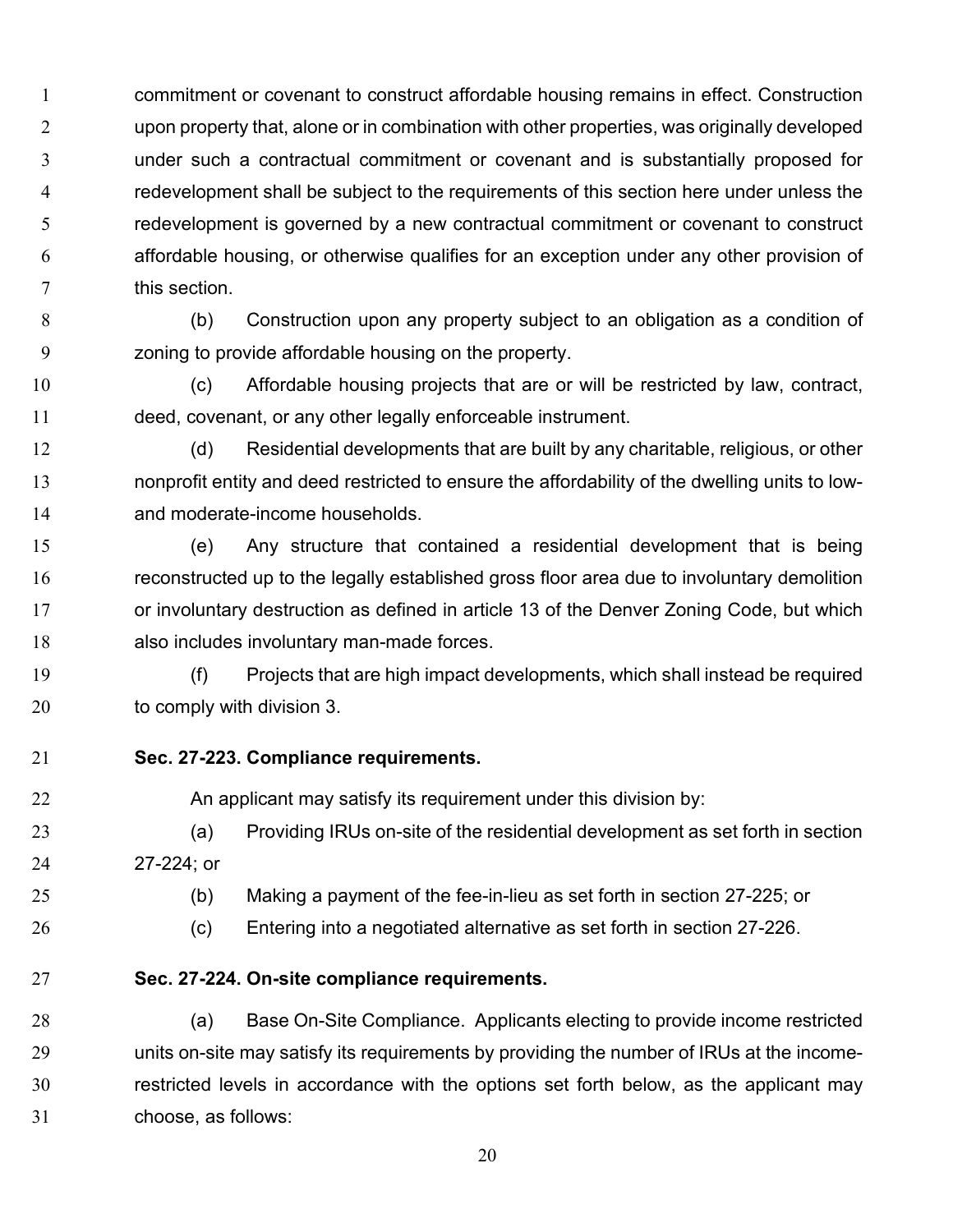commitment or covenant to construct affordable housing remains in effect. Construction upon property that, alone or in combination with other properties, was originally developed under such a contractual commitment or covenant and is substantially proposed for redevelopment shall be subject to the requirements of this section here under unless the redevelopment is governed by a new contractual commitment or covenant to construct affordable housing, or otherwise qualifies for an exception under any other provision of this section.

 (b) Construction upon any property subject to an obligation as a condition of zoning to provide affordable housing on the property.

 (c) Affordable housing projects that are or will be restricted by law, contract, deed, covenant, or any other legally enforceable instrument.

 (d) Residential developments that are built by any charitable, religious, or other nonprofit entity and deed restricted to ensure the affordability of the dwelling units to low-and moderate-income households.

 (e) Any structure that contained a residential development that is being reconstructed up to the legally established gross floor area due to involuntary demolition 17 or involuntary destruction as defined in article 13 of the Denver Zoning Code, but which also includes involuntary man-made forces.

 (f) Projects that are high impact developments, which shall instead be required to comply with division 3.

## **Sec. 27-223. Compliance requirements.**

22 An applicant may satisfy its requirement under this division by:

 (a) Providing IRUs on-site of the residential development as set forth in section 27-224; or

(b) Making a payment of the fee-in-lieu as set forth in section 27-225; or

(c) Entering into a negotiated alternative as set forth in section 27-226.

# **Sec. 27-224. On-site compliance requirements.**

 (a) Base On-Site Compliance. Applicants electing to provide income restricted units on-site may satisfy its requirements by providing the number of IRUs at the income- restricted levels in accordance with the options set forth below, as the applicant may choose, as follows: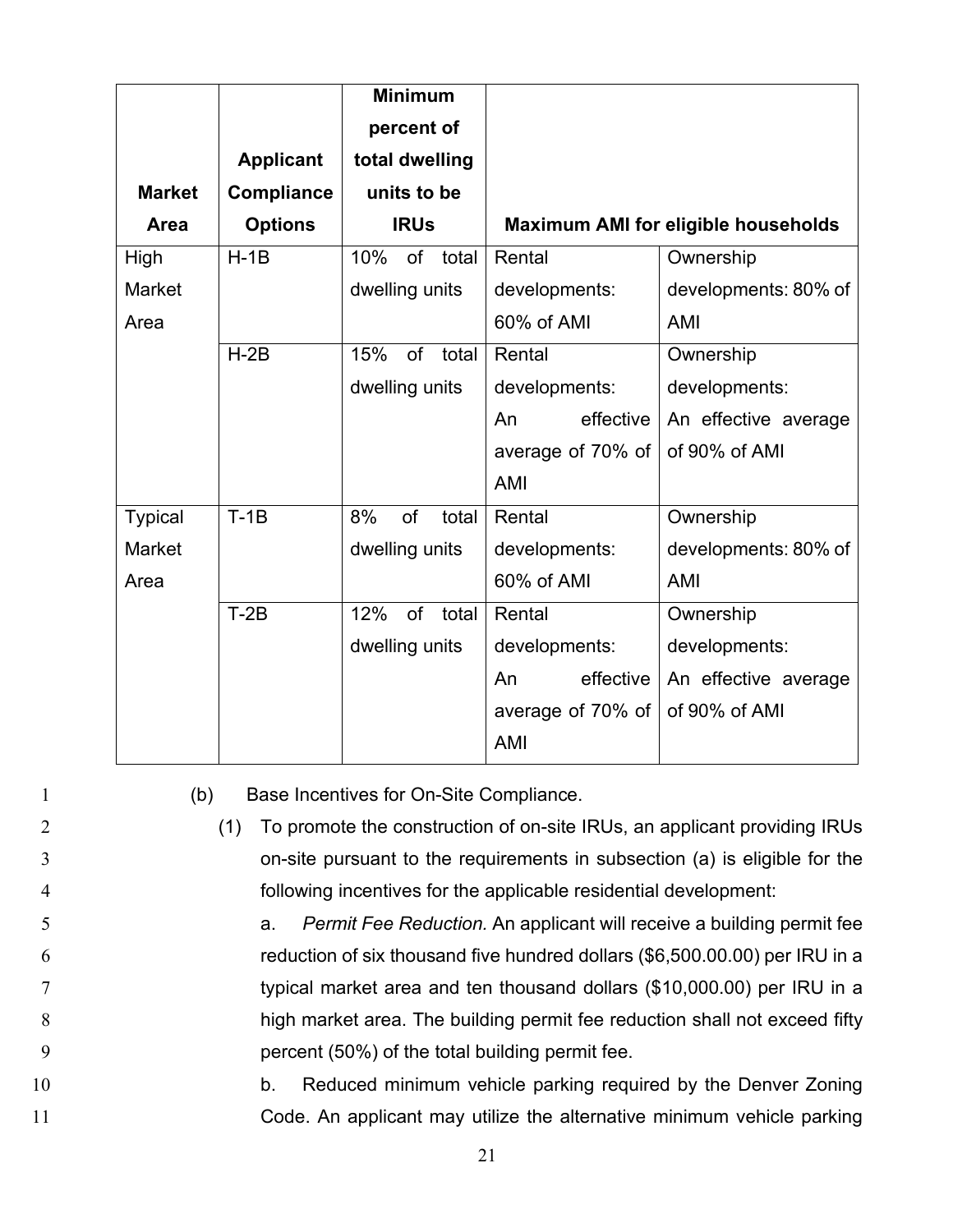|                |                  | <b>Minimum</b>     |                   |                                            |  |
|----------------|------------------|--------------------|-------------------|--------------------------------------------|--|
|                |                  | percent of         |                   |                                            |  |
|                | <b>Applicant</b> | total dwelling     |                   |                                            |  |
| <b>Market</b>  | Compliance       | units to be        |                   |                                            |  |
| Area           | <b>Options</b>   | <b>IRUs</b>        |                   | <b>Maximum AMI for eligible households</b> |  |
| High           | $H-1B$           | 10%<br>of<br>total | Rental            | Ownership                                  |  |
| Market         |                  | dwelling units     | developments:     | developments: 80% of                       |  |
| Area           |                  |                    | 60% of AMI        | AMI                                        |  |
|                | $H-2B$           | 15%<br>of<br>total | Rental            | Ownership                                  |  |
|                |                  | dwelling units     | developments:     | developments:                              |  |
|                |                  |                    | effective<br>An   | An effective average                       |  |
|                |                  |                    | average of 70% of | of 90% of AMI                              |  |
|                |                  |                    | AMI               |                                            |  |
| <b>Typical</b> | $T-1B$           | of<br>8%<br>total  | Rental            | Ownership                                  |  |
| <b>Market</b>  |                  | dwelling units     | developments:     | developments: 80% of                       |  |
| Area           |                  |                    | 60% of AMI        | AMI                                        |  |
|                | $T-2B$           | 12%<br>of<br>total | Rental            | Ownership                                  |  |
|                |                  | dwelling units     | developments:     | developments:                              |  |
|                |                  |                    | effective<br>An   | An effective average                       |  |
|                |                  |                    | average of 70% of | of 90% of AMI                              |  |
|                |                  |                    | AMI               |                                            |  |

1 (b) Base Incentives for On-Site Compliance.

- 2 (1) To promote the construction of on-site IRUs, an applicant providing IRUs 3 on-site pursuant to the requirements in subsection (a) is eligible for the 4 following incentives for the applicable residential development:
- 5 a. *Permit Fee Reduction.* An applicant will receive a building permit fee 6 reduction of six thousand five hundred dollars (\$6,500.00.00) per IRU in a 7 typical market area and ten thousand dollars (\$10,000.00) per IRU in a 8 high market area. The building permit fee reduction shall not exceed fifty 9 percent (50%) of the total building permit fee.
- 10 b. Reduced minimum vehicle parking required by the Denver Zoning 11 Code. An applicant may utilize the alternative minimum vehicle parking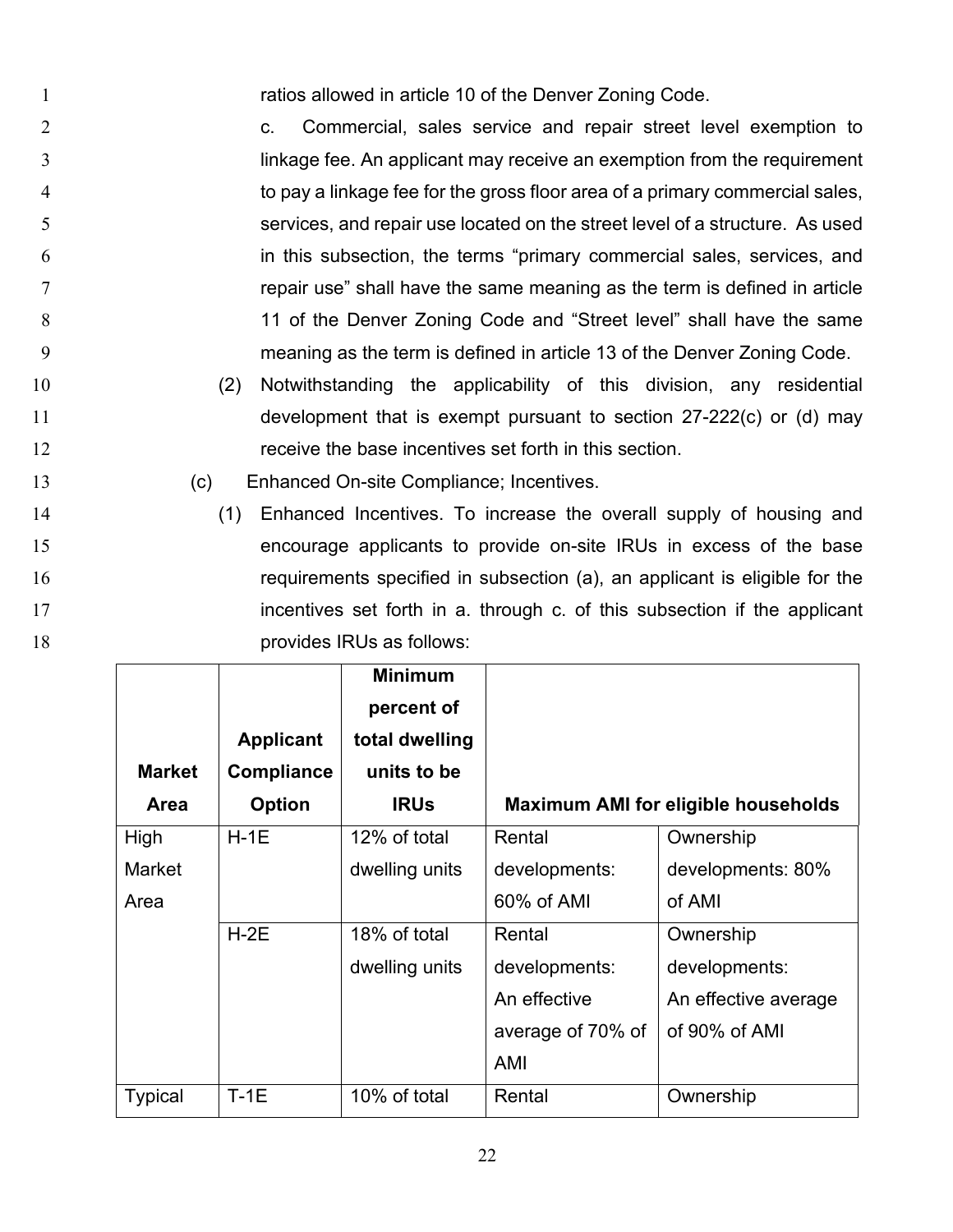1 ratios allowed in article 10 of the Denver Zoning Code.

- 2 c. Commercial, sales service and repair street level exemption to 3 linkage fee. An applicant may receive an exemption from the requirement 4 to pay a linkage fee for the gross floor area of a primary commercial sales, 5 services, and repair use located on the street level of a structure. As used 6 in this subsection, the terms "primary commercial sales, services, and 7 *T* repair use" shall have the same meaning as the term is defined in article 8 11 of the Denver Zoning Code and "Street level" shall have the same 9 meaning as the term is defined in article 13 of the Denver Zoning Code. 10 (2) Notwithstanding the applicability of this division, any residential
- 11 development that is exempt pursuant to section 27-222(c) or (d) may 12 receive the base incentives set forth in this section.
- 13 (c) Enhanced On-site Compliance; Incentives.
- 14 (1) Enhanced Incentives. To increase the overall supply of housing and 15 encourage applicants to provide on-site IRUs in excess of the base 16 requirements specified in subsection (a), an applicant is eligible for the 17 **incentives set forth in a. through c. of this subsection if the applicant** 18 **provides IRUs as follows:**

|                |                  | <b>Minimum</b><br>percent of |                   |                                            |
|----------------|------------------|------------------------------|-------------------|--------------------------------------------|
|                | <b>Applicant</b> | total dwelling               |                   |                                            |
| <b>Market</b>  | Compliance       | units to be                  |                   |                                            |
| <b>Area</b>    | Option           | <b>IRUs</b>                  |                   | <b>Maximum AMI for eligible households</b> |
| High           | $H-1E$           | 12% of total                 | Rental            | Ownership                                  |
| Market         |                  | dwelling units               | developments:     | developments: 80%                          |
| Area           |                  |                              | 60% of AMI        | of AMI                                     |
|                | $H-2E$           | 18% of total                 | Rental            | Ownership                                  |
|                |                  | dwelling units               | developments:     | developments:                              |
|                |                  |                              | An effective      | An effective average                       |
|                |                  |                              | average of 70% of | of 90% of AMI                              |
|                |                  |                              | AMI               |                                            |
| <b>Typical</b> | $T-1E$           | 10% of total                 | Rental            | Ownership                                  |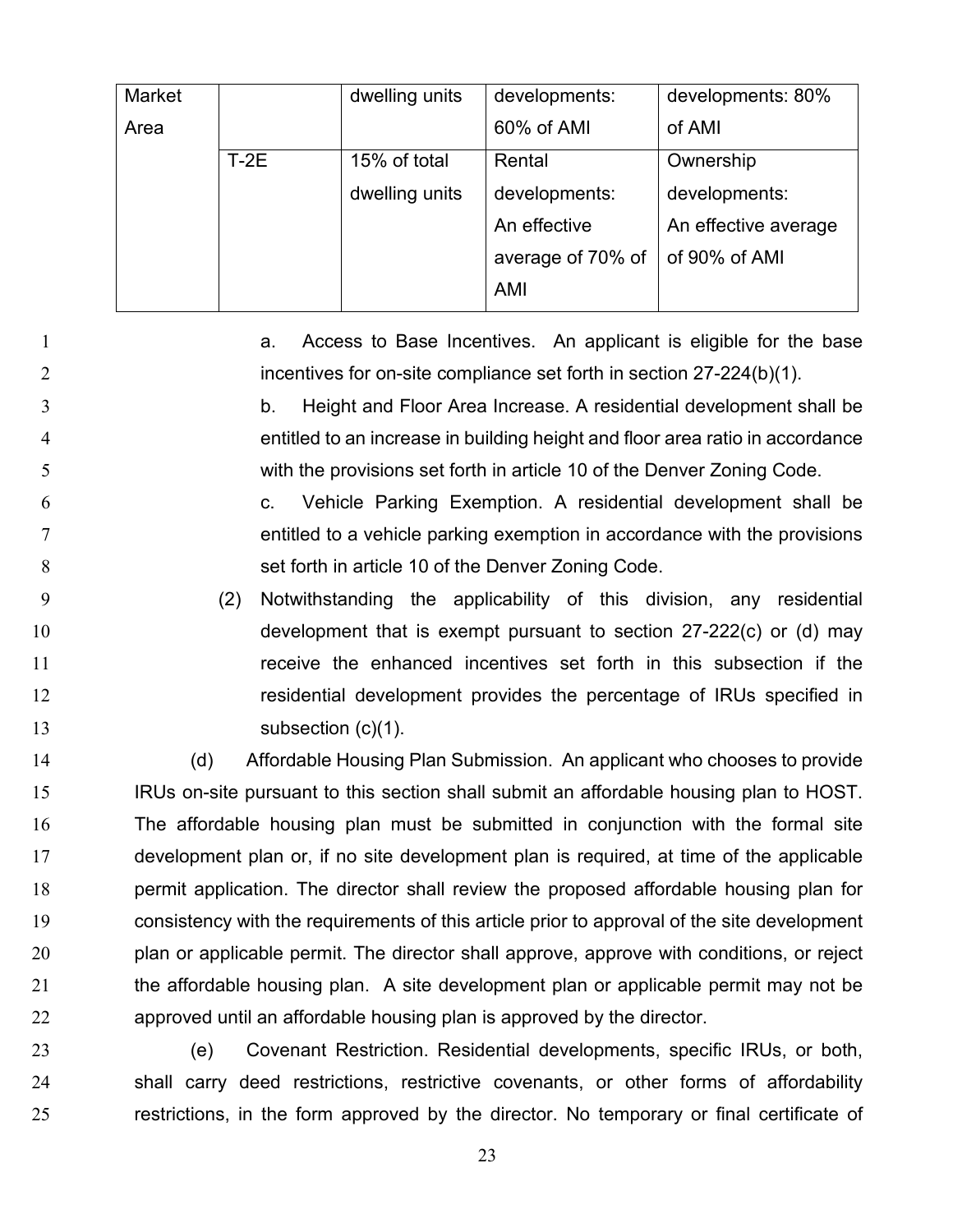| Market |        | dwelling units | developments:     | developments: 80%    |
|--------|--------|----------------|-------------------|----------------------|
| Area   |        |                | 60% of AMI        | of AMI               |
|        | $T-2E$ | 15% of total   | Rental            | Ownership            |
|        |        | dwelling units | developments:     | developments:        |
|        |        |                | An effective      | An effective average |
|        |        |                | average of 70% of | of 90% of AMI        |
|        |        |                | AMI               |                      |

1 **1 a.** Access to Base Incentives. An applicant is eligible for the base 2 incentives for on-site compliance set forth in section 27-224(b)(1).

3 b. Height and Floor Area Increase. A residential development shall be 4 entitled to an increase in building height and floor area ratio in accordance 5 with the provisions set forth in article 10 of the Denver Zoning Code.

6 c. Vehicle Parking Exemption. A residential development shall be 7 entitled to a vehicle parking exemption in accordance with the provisions 8 set forth in article 10 of the Denver Zoning Code.

 (2) Notwithstanding the applicability of this division, any residential development that is exempt pursuant to section 27-222(c) or (d) may receive the enhanced incentives set forth in this subsection if the **residential development provides the percentage of IRUs specified in** 13 subsection (c)(1).

 (d) Affordable Housing Plan Submission. An applicant who chooses to provide IRUs on-site pursuant to this section shall submit an affordable housing plan to HOST. The affordable housing plan must be submitted in conjunction with the formal site development plan or, if no site development plan is required, at time of the applicable permit application. The director shall review the proposed affordable housing plan for consistency with the requirements of this article prior to approval of the site development 20 plan or applicable permit. The director shall approve, approve with conditions, or reject 21 the affordable housing plan. A site development plan or applicable permit may not be approved until an affordable housing plan is approved by the director.

23 (e) Covenant Restriction. Residential developments, specific IRUs, or both, 24 shall carry deed restrictions, restrictive covenants, or other forms of affordability 25 restrictions, in the form approved by the director. No temporary or final certificate of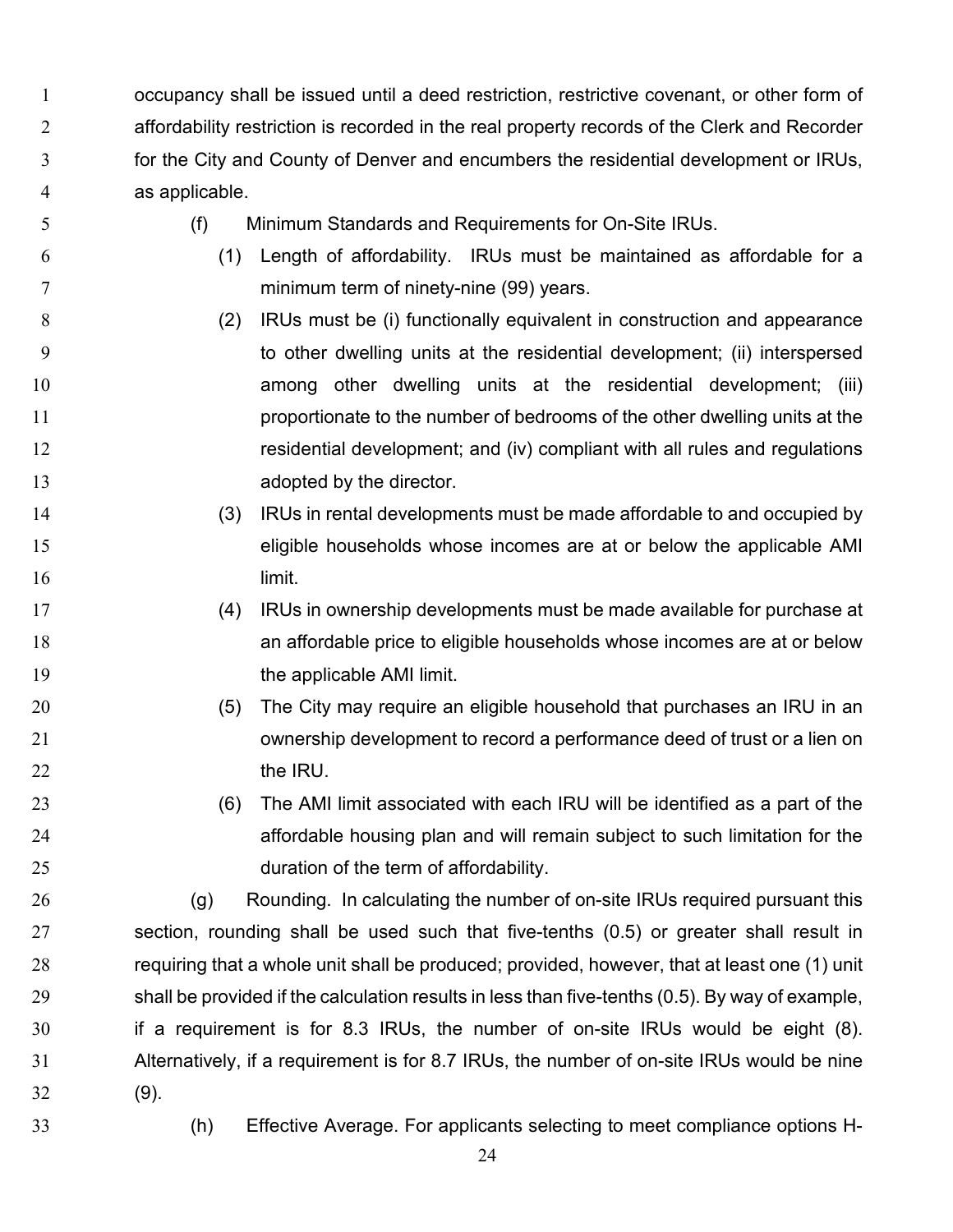occupancy shall be issued until a deed restriction, restrictive covenant, or other form of 2 affordability restriction is recorded in the real property records of the Clerk and Recorder for the City and County of Denver and encumbers the residential development or IRUs, as applicable.

- (f) Minimum Standards and Requirements for On-Site IRUs.
- (1) Length of affordability. IRUs must be maintained as affordable for a minimum term of ninety-nine (99) years.
- (2) IRUs must be (i) functionally equivalent in construction and appearance to other dwelling units at the residential development; (ii) interspersed among other dwelling units at the residential development; (iii) **proportionate to the number of bedrooms of the other dwelling units at the 12** residential development; and (iv) compliant with all rules and regulations **adopted by the director.**
- (3) IRUs in rental developments must be made affordable to and occupied by eligible households whose incomes are at or below the applicable AMI 16 limit.
- (4) IRUs in ownership developments must be made available for purchase at an affordable price to eligible households whose incomes are at or below 19 the applicable AMI limit.
- (5) The City may require an eligible household that purchases an IRU in an ownership development to record a performance deed of trust or a lien on 22 the IRU.
- (6) The AMI limit associated with each IRU will be identified as a part of the affordable housing plan and will remain subject to such limitation for the duration of the term of affordability.

 (g) Rounding. In calculating the number of on-site IRUs required pursuant this section, rounding shall be used such that five-tenths (0.5) or greater shall result in requiring that a whole unit shall be produced; provided, however, that at least one (1) unit shall be provided if the calculation results in less than five-tenths (0.5). By way of example, if a requirement is for 8.3 IRUs, the number of on-site IRUs would be eight (8). Alternatively, if a requirement is for 8.7 IRUs, the number of on-site IRUs would be nine (9).

- 
- (h) Effective Average. For applicants selecting to meet compliance options H-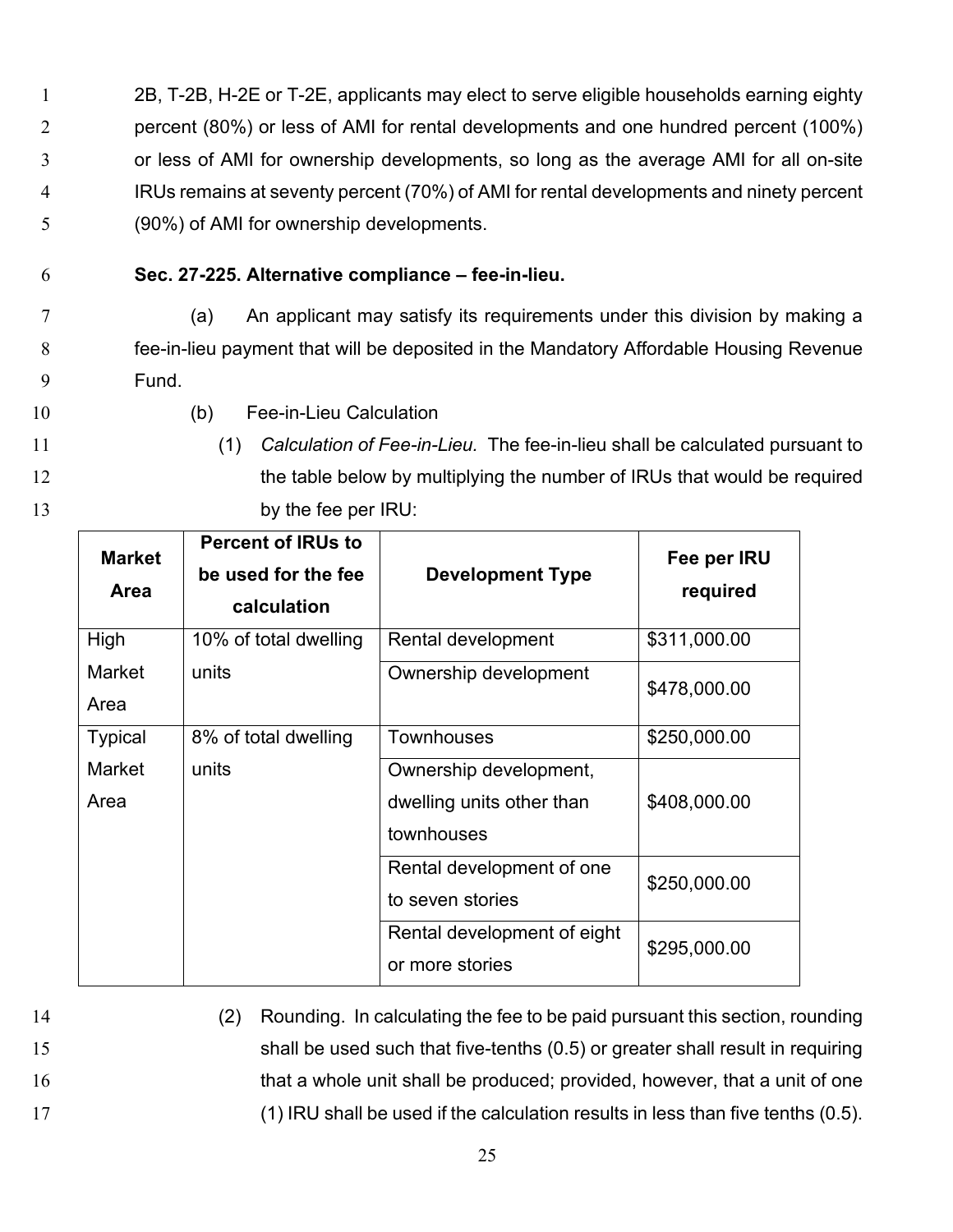2B, T-2B, H-2E or T-2E, applicants may elect to serve eligible households earning eighty percent (80%) or less of AMI for rental developments and one hundred percent (100%) or less of AMI for ownership developments, so long as the average AMI for all on-site IRUs remains at seventy percent (70%) of AMI for rental developments and ninety percent (90%) of AMI for ownership developments.

6 **Sec. 27-225. Alternative compliance – fee-in-lieu.**

7 (a) An applicant may satisfy its requirements under this division by making a 8 fee-in-lieu payment that will be deposited in the Mandatory Affordable Housing Revenue 9 Fund.

- 
- 10 (b) Fee-in-Lieu Calculation
- 11 (1) *Calculation of Fee-in-Lieu.* The fee-in-lieu shall be calculated pursuant to 12 the table below by multiplying the number of IRUs that would be required 13 by the fee per IRU:

| <b>Market</b><br><b>Area</b> | <b>Percent of IRUs to</b><br>be used for the fee<br>calculation | <b>Development Type</b>                                           | Fee per IRU<br>required |
|------------------------------|-----------------------------------------------------------------|-------------------------------------------------------------------|-------------------------|
| High                         | 10% of total dwelling                                           | Rental development                                                | \$311,000.00            |
| Market<br>Area               | units                                                           | Ownership development                                             | \$478,000.00            |
| <b>Typical</b>               | 8% of total dwelling                                            | <b>Townhouses</b>                                                 | \$250,000.00            |
| <b>Market</b><br>Area        | units                                                           | Ownership development,<br>dwelling units other than<br>townhouses | \$408,000.00            |
|                              |                                                                 | Rental development of one<br>to seven stories                     | \$250,000.00            |
|                              |                                                                 | Rental development of eight<br>or more stories                    | \$295,000.00            |

- 
- 

14 (2) Rounding. In calculating the fee to be paid pursuant this section, rounding 15 shall be used such that five-tenths (0.5) or greater shall result in requiring 16 that a whole unit shall be produced; provided, however, that a unit of one 17 (1) IRU shall be used if the calculation results in less than five tenths (0.5).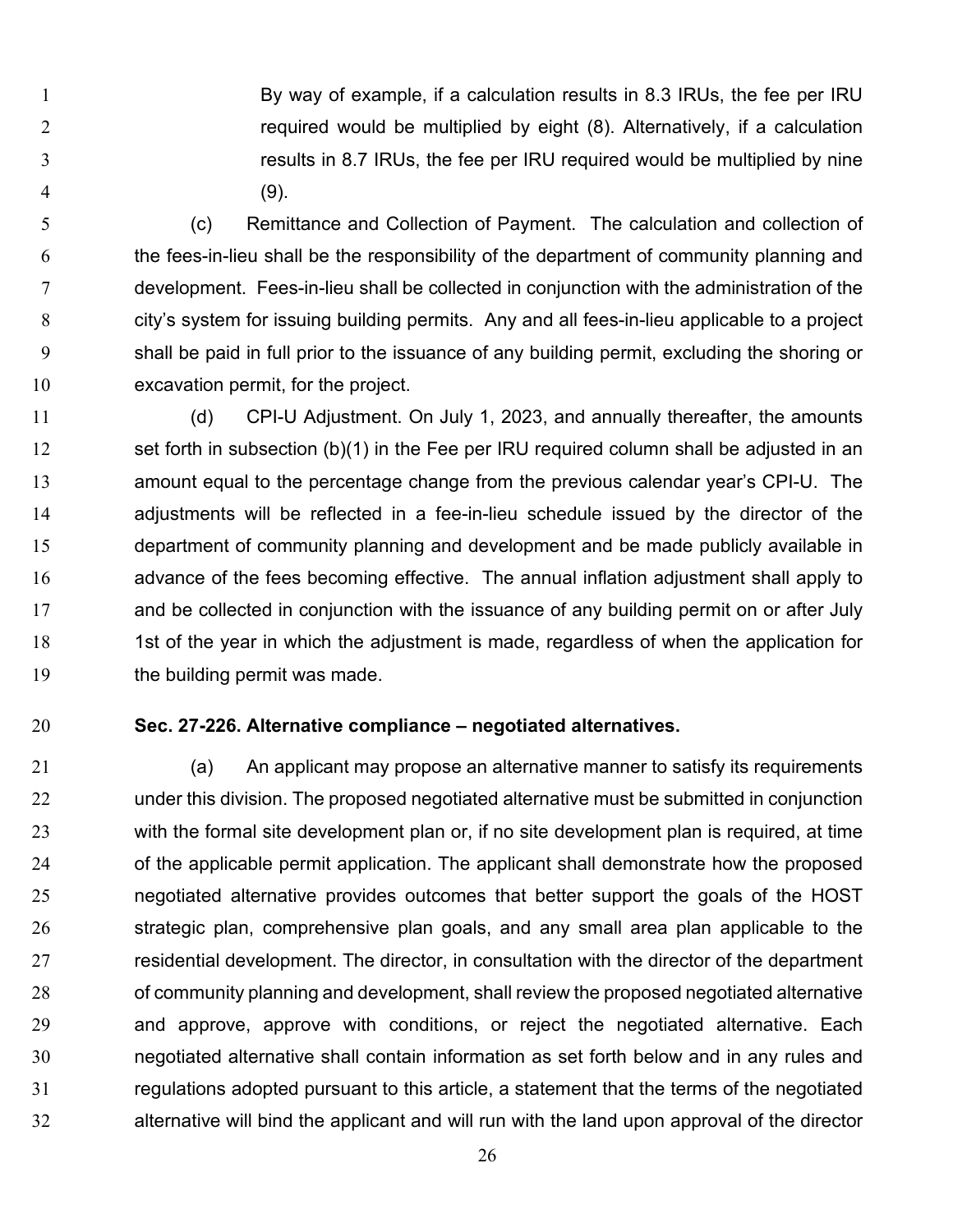By way of example, if a calculation results in 8.3 IRUs, the fee per IRU required would be multiplied by eight (8). Alternatively, if a calculation results in 8.7 IRUs, the fee per IRU required would be multiplied by nine (9).

- (c) Remittance and Collection of Payment. The calculation and collection of the fees-in-lieu shall be the responsibility of the department of community planning and development. Fees-in-lieu shall be collected in conjunction with the administration of the city's system for issuing building permits. Any and all fees-in-lieu applicable to a project shall be paid in full prior to the issuance of any building permit, excluding the shoring or excavation permit, for the project.
- (d) CPI-U Adjustment. On July 1, 2023, and annually thereafter, the amounts 12 set forth in subsection (b)(1) in the Fee per IRU required column shall be adjusted in an amount equal to the percentage change from the previous calendar year's CPI-U. The adjustments will be reflected in a fee-in-lieu schedule issued by the director of the department of community planning and development and be made publicly available in advance of the fees becoming effective. The annual inflation adjustment shall apply to 17 and be collected in conjunction with the issuance of any building permit on or after July 18 18 1st of the year in which the adjustment is made, regardless of when the application for 19 the building permit was made.
- 

#### **Sec. 27-226. Alternative compliance – negotiated alternatives.**

 (a) An applicant may propose an alternative manner to satisfy its requirements under this division. The proposed negotiated alternative must be submitted in conjunction with the formal site development plan or, if no site development plan is required, at time of the applicable permit application. The applicant shall demonstrate how the proposed negotiated alternative provides outcomes that better support the goals of the HOST strategic plan, comprehensive plan goals, and any small area plan applicable to the residential development. The director, in consultation with the director of the department of community planning and development, shall review the proposed negotiated alternative and approve, approve with conditions, or reject the negotiated alternative. Each negotiated alternative shall contain information as set forth below and in any rules and regulations adopted pursuant to this article, a statement that the terms of the negotiated alternative will bind the applicant and will run with the land upon approval of the director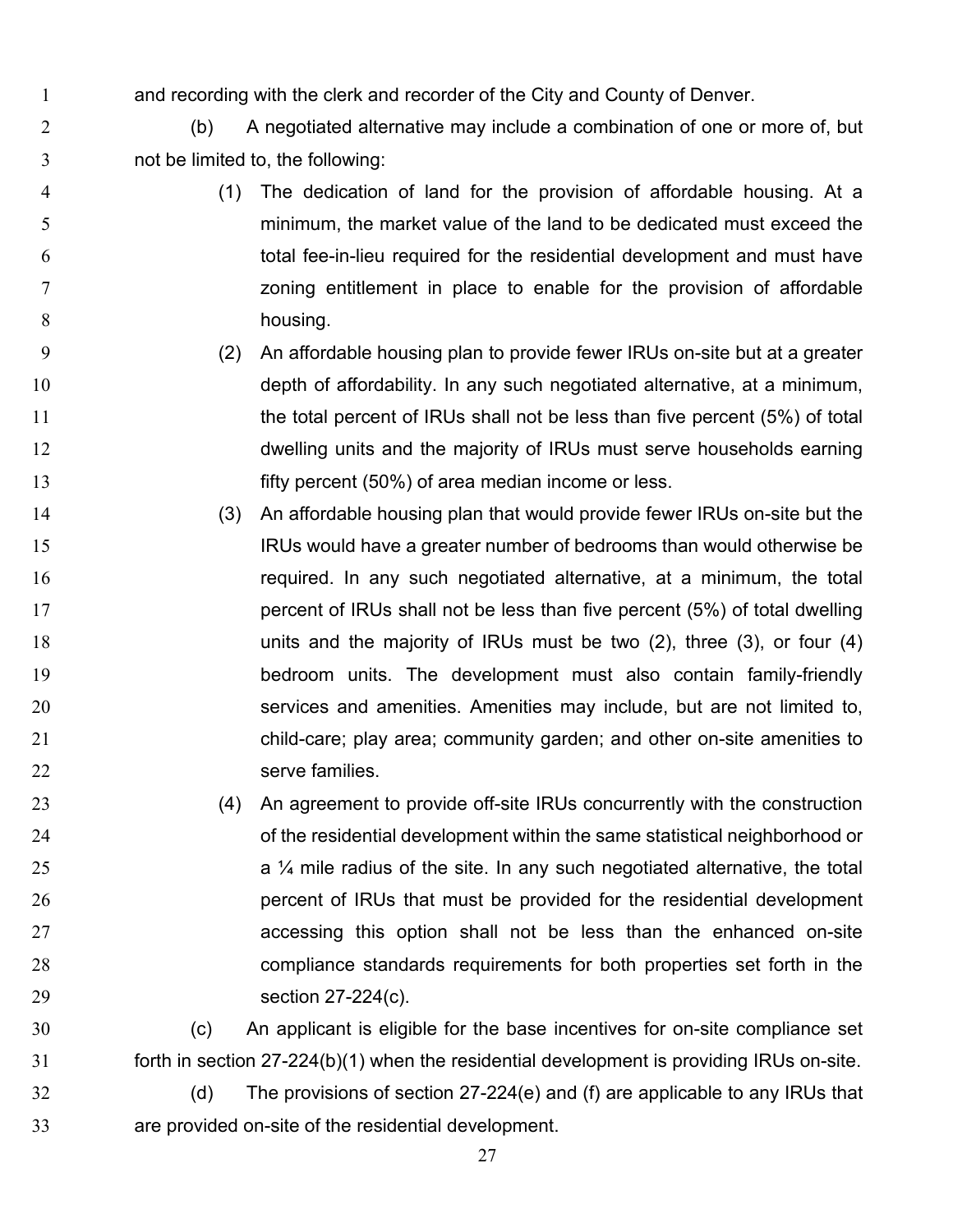and recording with the clerk and recorder of the City and County of Denver.

 (b) A negotiated alternative may include a combination of one or more of, but not be limited to, the following:

- (1) The dedication of land for the provision of affordable housing. At a minimum, the market value of the land to be dedicated must exceed the total fee-in-lieu required for the residential development and must have zoning entitlement in place to enable for the provision of affordable 8 housing.
- (2) An affordable housing plan to provide fewer IRUs on-site but at a greater depth of affordability. In any such negotiated alternative, at a minimum, 11 the total percent of IRUs shall not be less than five percent (5%) of total dwelling units and the majority of IRUs must serve households earning fifty percent (50%) of area median income or less.
- (3) An affordable housing plan that would provide fewer IRUs on-site but the IRUs would have a greater number of bedrooms than would otherwise be required. In any such negotiated alternative, at a minimum, the total **percent of IRUs shall not be less than five percent (5%) of total dwelling**  units and the majority of IRUs must be two (2), three (3), or four (4) bedroom units. The development must also contain family-friendly services and amenities. Amenities may include, but are not limited to, child-care; play area; community garden; and other on-site amenities to 22 serve families.
- (4) An agreement to provide off-site IRUs concurrently with the construction of the residential development within the same statistical neighborhood or a  $\frac{1}{4}$  mile radius of the site. In any such negotiated alternative, the total percent of IRUs that must be provided for the residential development accessing this option shall not be less than the enhanced on-site compliance standards requirements for both properties set forth in the section 27-224(c).
- (c) An applicant is eligible for the base incentives for on-site compliance set forth in section 27-224(b)(1) when the residential development is providing IRUs on-site.
- (d) The provisions of section 27-224(e) and (f) are applicable to any IRUs that are provided on-site of the residential development.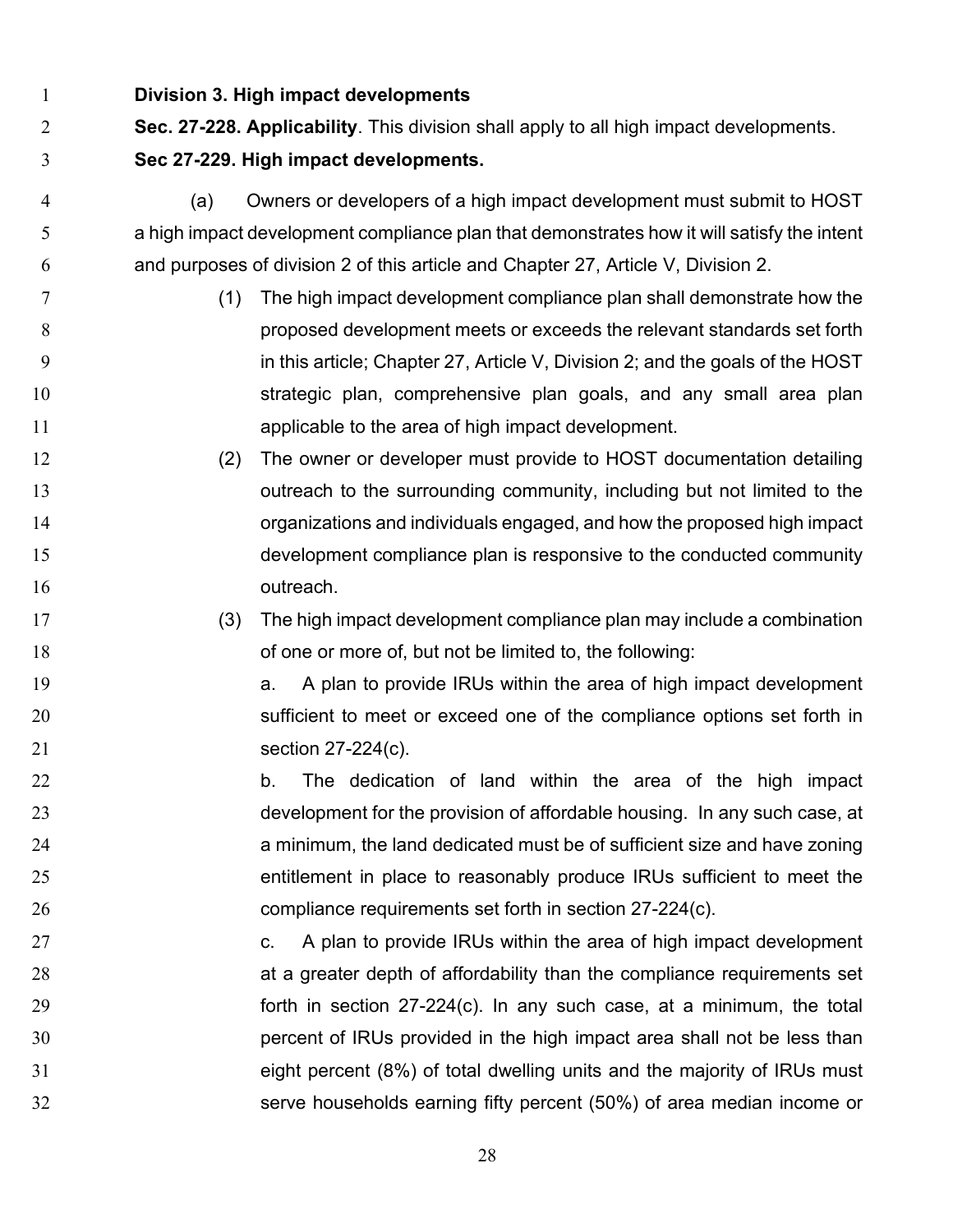| $\mathbf{1}$   |                                       | Division 3. High impact developments                                                       |  |  |  |  |
|----------------|---------------------------------------|--------------------------------------------------------------------------------------------|--|--|--|--|
| 2              |                                       | Sec. 27-228. Applicability. This division shall apply to all high impact developments.     |  |  |  |  |
| 3              | Sec 27-229. High impact developments. |                                                                                            |  |  |  |  |
| $\overline{4}$ | (a)                                   | Owners or developers of a high impact development must submit to HOST                      |  |  |  |  |
| 5              |                                       | a high impact development compliance plan that demonstrates how it will satisfy the intent |  |  |  |  |
| 6              |                                       | and purposes of division 2 of this article and Chapter 27, Article V, Division 2.          |  |  |  |  |
| 7              | (1)                                   | The high impact development compliance plan shall demonstrate how the                      |  |  |  |  |
| 8              |                                       | proposed development meets or exceeds the relevant standards set forth                     |  |  |  |  |
| 9              |                                       | in this article; Chapter 27, Article V, Division 2; and the goals of the HOST              |  |  |  |  |
| 10             |                                       | strategic plan, comprehensive plan goals, and any small area plan                          |  |  |  |  |
| 11             |                                       | applicable to the area of high impact development.                                         |  |  |  |  |
| 12             | (2)                                   | The owner or developer must provide to HOST documentation detailing                        |  |  |  |  |
| 13             |                                       | outreach to the surrounding community, including but not limited to the                    |  |  |  |  |
| 14             |                                       | organizations and individuals engaged, and how the proposed high impact                    |  |  |  |  |
| 15             |                                       | development compliance plan is responsive to the conducted community                       |  |  |  |  |
| 16             |                                       | outreach.                                                                                  |  |  |  |  |
| 17             | (3)                                   | The high impact development compliance plan may include a combination                      |  |  |  |  |
| 18             |                                       | of one or more of, but not be limited to, the following:                                   |  |  |  |  |
| 19             |                                       | A plan to provide IRUs within the area of high impact development<br>a.                    |  |  |  |  |
| 20             |                                       | sufficient to meet or exceed one of the compliance options set forth in                    |  |  |  |  |
| 21             |                                       | section 27-224(c).                                                                         |  |  |  |  |
| 22             |                                       | The dedication of land within the area of the high impact<br>b.                            |  |  |  |  |
| 23             |                                       | development for the provision of affordable housing. In any such case, at                  |  |  |  |  |
| 24             |                                       | a minimum, the land dedicated must be of sufficient size and have zoning                   |  |  |  |  |
| 25             |                                       | entitlement in place to reasonably produce IRUs sufficient to meet the                     |  |  |  |  |
| 26             |                                       | compliance requirements set forth in section 27-224(c).                                    |  |  |  |  |
| 27             |                                       | A plan to provide IRUs within the area of high impact development<br>C.                    |  |  |  |  |
| 28             |                                       | at a greater depth of affordability than the compliance requirements set                   |  |  |  |  |
| 29             |                                       | forth in section 27-224(c). In any such case, at a minimum, the total                      |  |  |  |  |
| 30             |                                       | percent of IRUs provided in the high impact area shall not be less than                    |  |  |  |  |
| 31             |                                       | eight percent (8%) of total dwelling units and the majority of IRUs must                   |  |  |  |  |
| 32             |                                       | serve households earning fifty percent (50%) of area median income or                      |  |  |  |  |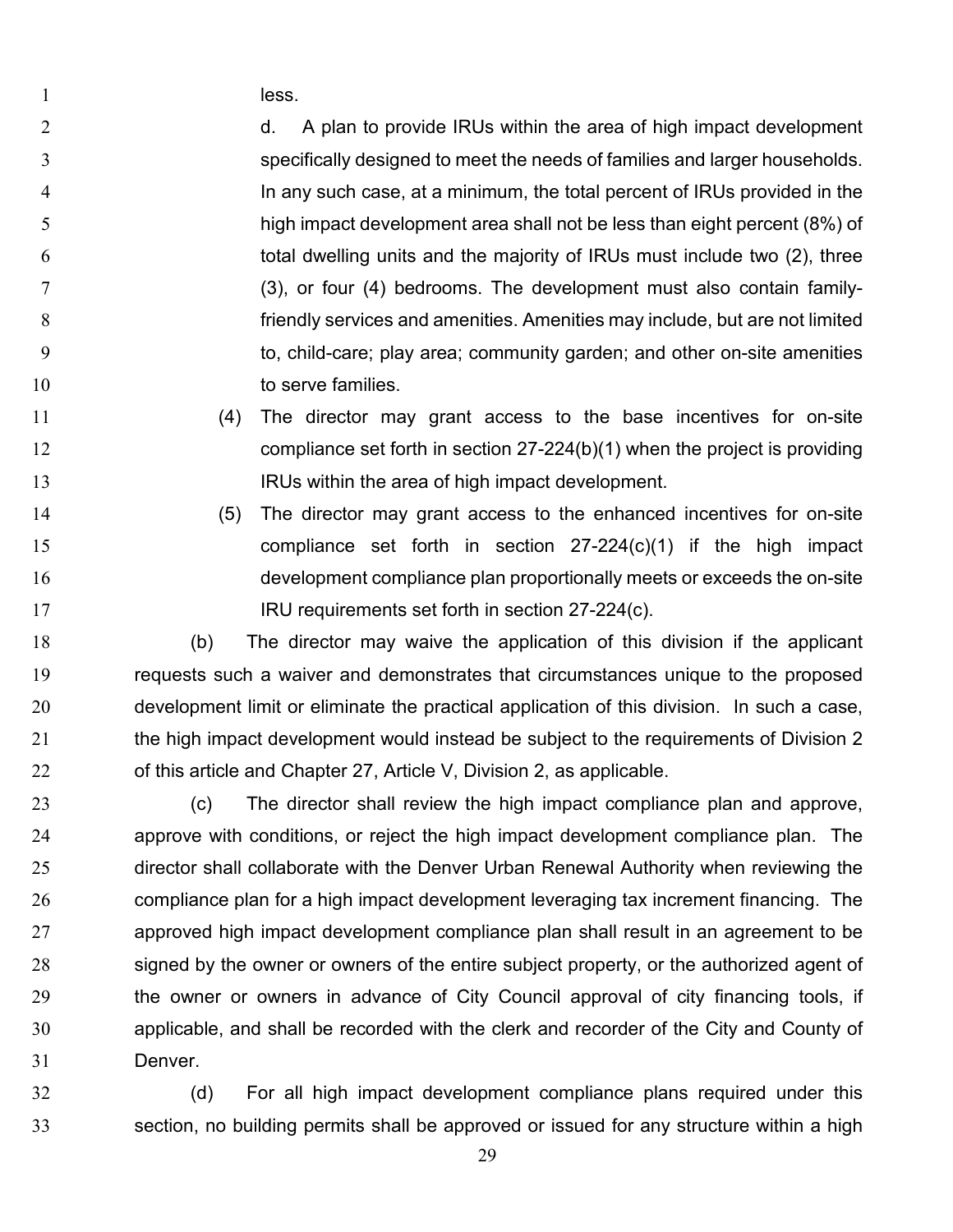1 less.

2 d. A plan to provide IRUs within the area of high impact development specifically designed to meet the needs of families and larger households. In any such case, at a minimum, the total percent of IRUs provided in the high impact development area shall not be less than eight percent (8%) of total dwelling units and the majority of IRUs must include two (2), three (3), or four (4) bedrooms. The development must also contain family- friendly services and amenities. Amenities may include, but are not limited to, child-care; play area; community garden; and other on-site amenities 10 to serve families.

- (4) The director may grant access to the base incentives for on-site compliance set forth in section 27-224(b)(1) when the project is providing IRUs within the area of high impact development.
- (5) The director may grant access to the enhanced incentives for on-site compliance set forth in section 27-224(c)(1) if the high impact development compliance plan proportionally meets or exceeds the on-site **IRU requirements set forth in section 27-224(c).**

 (b) The director may waive the application of this division if the applicant requests such a waiver and demonstrates that circumstances unique to the proposed development limit or eliminate the practical application of this division. In such a case, 21 the high impact development would instead be subject to the requirements of Division 2 of this article and Chapter 27, Article V, Division 2, as applicable.

 (c) The director shall review the high impact compliance plan and approve, approve with conditions, or reject the high impact development compliance plan. The director shall collaborate with the Denver Urban Renewal Authority when reviewing the compliance plan for a high impact development leveraging tax increment financing. The approved high impact development compliance plan shall result in an agreement to be signed by the owner or owners of the entire subject property, or the authorized agent of 29 the owner or owners in advance of City Council approval of city financing tools, if applicable, and shall be recorded with the clerk and recorder of the City and County of Denver.

 (d) For all high impact development compliance plans required under this section, no building permits shall be approved or issued for any structure within a high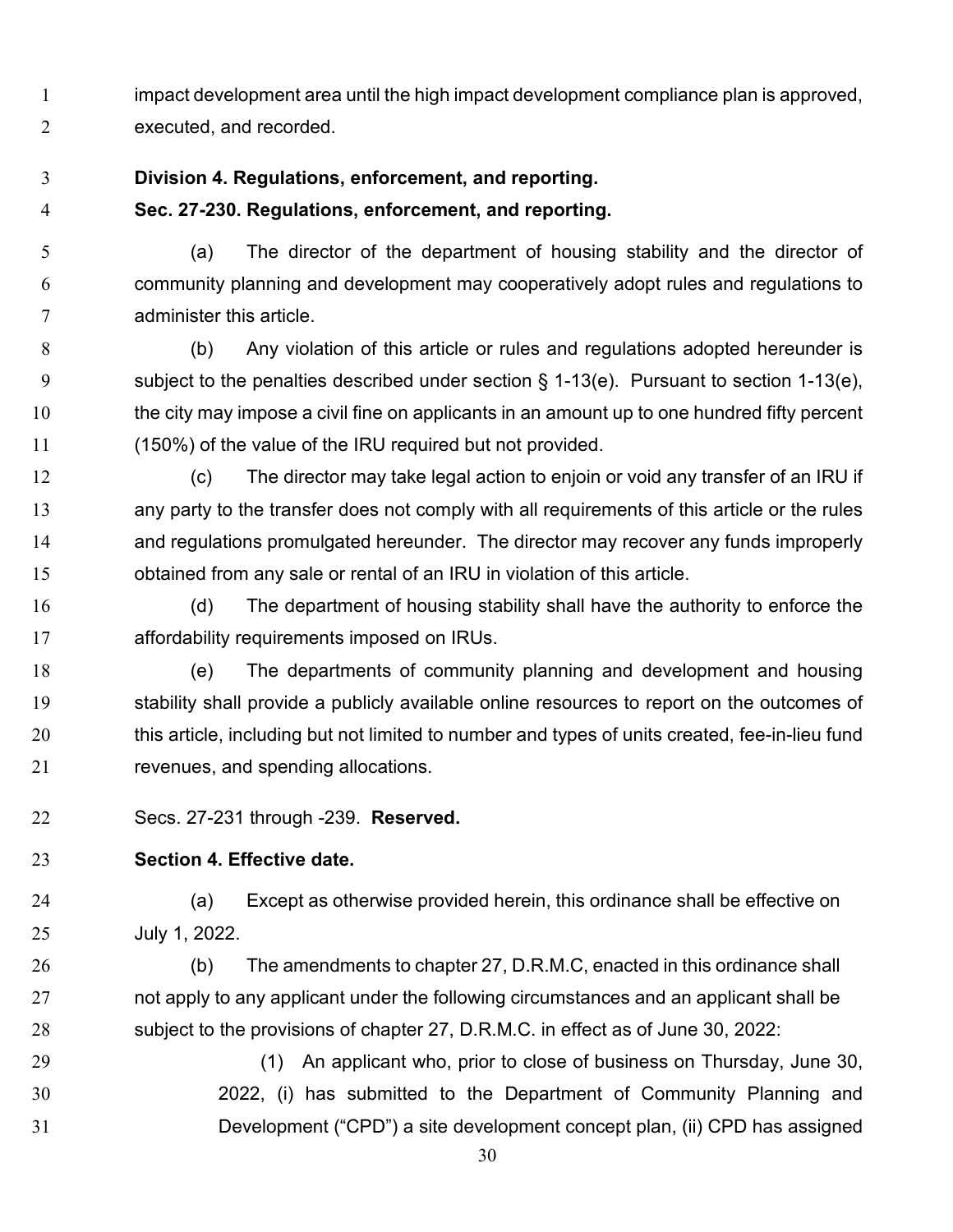impact development area until the high impact development compliance plan is approved, executed, and recorded.

- **Division 4. Regulations, enforcement, and reporting.**
- 

# **Sec. 27-230. Regulations, enforcement, and reporting.**

 (a) The director of the department of housing stability and the director of community planning and development may cooperatively adopt rules and regulations to administer this article.

 (b) Any violation of this article or rules and regulations adopted hereunder is subject to the penalties described under section § 1-13(e). Pursuant to section 1-13(e), 10 the city may impose a civil fine on applicants in an amount up to one hundred fifty percent (150%) of the value of the IRU required but not provided.

**12** (c) The director may take legal action to enjoin or void any transfer of an IRU if any party to the transfer does not comply with all requirements of this article or the rules and regulations promulgated hereunder. The director may recover any funds improperly obtained from any sale or rental of an IRU in violation of this article.

 (d) The department of housing stability shall have the authority to enforce the affordability requirements imposed on IRUs.

 (e) The departments of community planning and development and housing stability shall provide a publicly available online resources to report on the outcomes of this article, including but not limited to number and types of units created, fee-in-lieu fund 21 revenues, and spending allocations.

Secs. 27-231 through -239. **Reserved.**

# **Section 4. Effective date.**

 (a) Except as otherwise provided herein, this ordinance shall be effective on July 1, 2022.

 (b) The amendments to chapter 27, D.R.M.C, enacted in this ordinance shall not apply to any applicant under the following circumstances and an applicant shall be subject to the provisions of chapter 27, D.R.M.C. in effect as of June 30, 2022:

 (1) An applicant who, prior to close of business on Thursday, June 30, 2022, (i) has submitted to the Department of Community Planning and Development ("CPD") a site development concept plan, (ii) CPD has assigned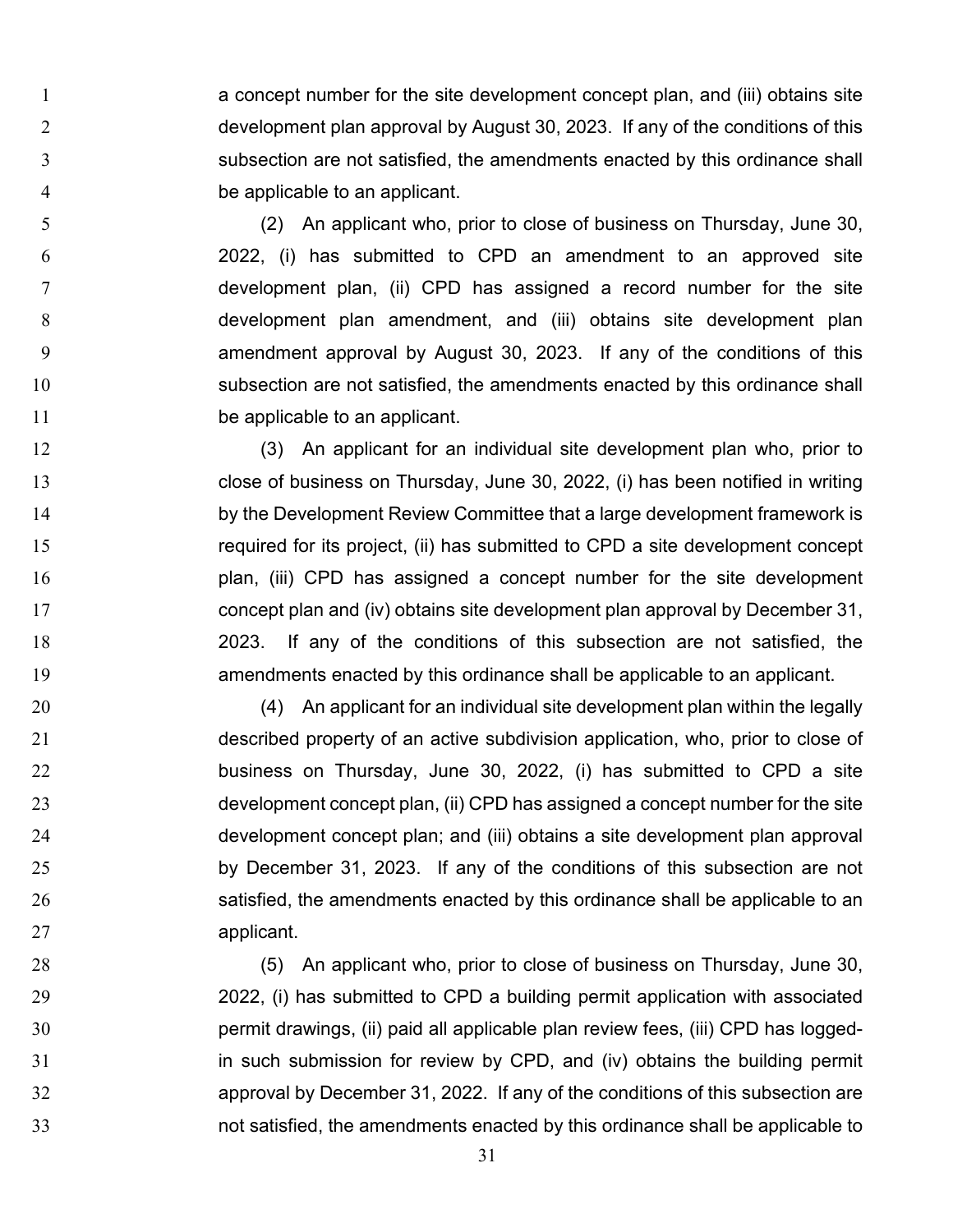a concept number for the site development concept plan, and (iii) obtains site development plan approval by August 30, 2023. If any of the conditions of this subsection are not satisfied, the amendments enacted by this ordinance shall be applicable to an applicant.

 (2) An applicant who, prior to close of business on Thursday, June 30, 2022, (i) has submitted to CPD an amendment to an approved site development plan, (ii) CPD has assigned a record number for the site development plan amendment, and (iii) obtains site development plan amendment approval by August 30, 2023. If any of the conditions of this subsection are not satisfied, the amendments enacted by this ordinance shall 11 be applicable to an applicant.

 (3) An applicant for an individual site development plan who, prior to close of business on Thursday, June 30, 2022, (i) has been notified in writing 14 by the Development Review Committee that a large development framework is required for its project, (ii) has submitted to CPD a site development concept **plan, (iii) CPD has assigned a concept number for the site development**  concept plan and (iv) obtains site development plan approval by December 31, 2023. If any of the conditions of this subsection are not satisfied, the amendments enacted by this ordinance shall be applicable to an applicant.

 (4) An applicant for an individual site development plan within the legally described property of an active subdivision application, who, prior to close of business on Thursday, June 30, 2022, (i) has submitted to CPD a site development concept plan, (ii) CPD has assigned a concept number for the site development concept plan; and (iii) obtains a site development plan approval by December 31, 2023. If any of the conditions of this subsection are not 26 satisfied, the amendments enacted by this ordinance shall be applicable to an applicant.

**120 Constant Manuel Constrainers** (5) An applicant who, prior to close of business on Thursday, June 30, 2022, (i) has submitted to CPD a building permit application with associated permit drawings, (ii) paid all applicable plan review fees, (iii) CPD has logged- in such submission for review by CPD, and (iv) obtains the building permit approval by December 31, 2022. If any of the conditions of this subsection are not satisfied, the amendments enacted by this ordinance shall be applicable to